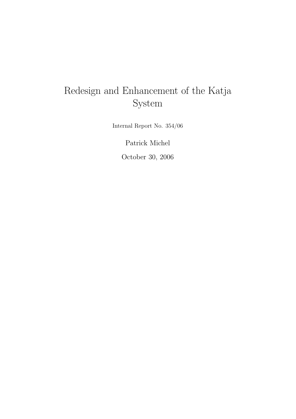# Redesign and Enhancement of the Katja System

Internal Report No. 354/06

Patrick Michel October 30, 2006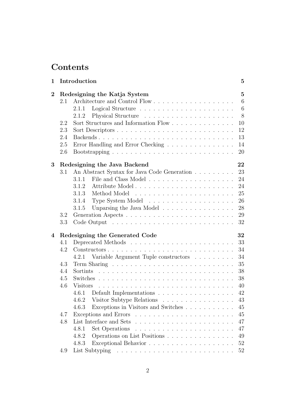# Contents

| 1              |     | Introduction                                                                  | $\bf{5}$        |
|----------------|-----|-------------------------------------------------------------------------------|-----------------|
| $\overline{2}$ |     | Redesigning the Katja System                                                  | $\overline{5}$  |
|                | 2.1 |                                                                               | $6\phantom{.}6$ |
|                |     | Logical Structure $\ldots \ldots \ldots \ldots \ldots \ldots \ldots$<br>2.1.1 | 6               |
|                |     | 2.1.2                                                                         | 8               |
|                | 2.2 |                                                                               | 10              |
|                | 2.3 |                                                                               | 12              |
|                | 2.4 |                                                                               | 13              |
|                | 2.5 | Error Handling and Error Checking                                             | 14              |
|                | 2.6 |                                                                               | 20              |
| 3              |     | Redesigning the Java Backend                                                  | 22              |
|                | 3.1 | An Abstract Syntax for Java Code Generation                                   | 23              |
|                |     | 3.1.1                                                                         | 24              |
|                |     | 3.1.2                                                                         | 24              |
|                |     | 3.1.3                                                                         | 25              |
|                |     | 3.1.4                                                                         | 26              |
|                |     | Unparsing the Java Model<br>3.1.5                                             | 28              |
|                | 3.2 |                                                                               | 29              |
|                | 3.3 |                                                                               | 32              |
| 4              |     | Redesigning the Generated Code                                                | 32              |
|                | 4.1 |                                                                               | 33              |
|                | 4.2 |                                                                               | 34              |
|                |     | 4.2.1 Variable Argument Tuple constructors                                    | 34              |
|                | 4.3 |                                                                               | 35              |
|                | 4.4 |                                                                               | 38              |
|                | 4.5 |                                                                               | 38              |
|                | 4.6 | <b>Visitors</b>                                                               | 40              |
|                |     | Default Implementations $\ldots \ldots \ldots \ldots \ldots \ldots$<br>4.6.1  | 42              |
|                |     | Visitor Subtype Relations<br>4.6.2                                            | 43              |
|                |     | Exceptions in Visitors and Switches<br>4.6.3                                  | 45              |
|                | 4.7 |                                                                               | 45              |
|                | 4.8 |                                                                               | 47              |
|                |     | 4.8.1                                                                         | 47              |
|                |     | Operations on List Positions<br>4.8.2                                         | 49              |
|                |     | 4.8.3                                                                         | $52\,$          |
|                | 4.9 |                                                                               | $52\,$          |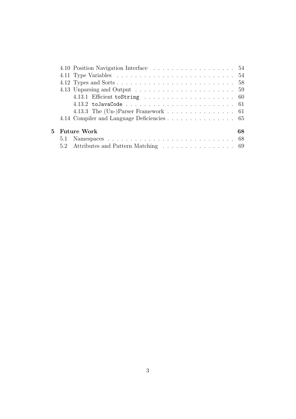|     | 4.10 Position Navigation Interface 54      |    |
|-----|--------------------------------------------|----|
|     |                                            |    |
|     |                                            |    |
|     |                                            |    |
|     |                                            |    |
|     |                                            |    |
|     | 4.13.3 The (Un-)Parser Framework 61        |    |
|     | 4.14 Compiler and Language Deficiencies 65 |    |
|     | 5 - Future Work                            | 68 |
| 5.1 |                                            |    |
|     | 5.2 Attributes and Pattern Matching 69     |    |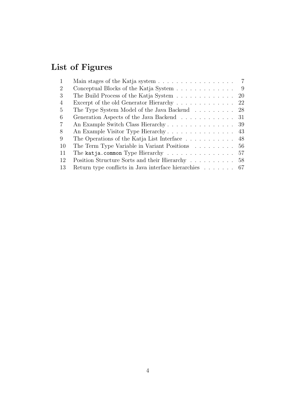# List of Figures

|    | Main stages of the Katja system $\ldots \ldots \ldots \ldots \ldots$    | $\overline{7}$ |
|----|-------------------------------------------------------------------------|----------------|
| 2  | Conceptual Blocks of the Katja System                                   | - 9            |
| 3  | The Build Process of the Katja System                                   | 20             |
| 4  | Excerpt of the old Generator Hierarchy 22                               |                |
| 5  | The Type System Model of the Java Backend 28                            |                |
| 6  | Generation Aspects of the Java Backend 31                               |                |
| 7  | An Example Switch Class Hierarchy 39                                    |                |
| 8  |                                                                         |                |
| 9  | The Operations of the Katja List Interface $\dots \dots \dots \dots$ 48 |                |
| 10 | The Term Type Variable in Variant Positions 56                          |                |
| 11 | The katja.common Type Hierarchy 57                                      |                |
| 12 | Position Structure Sorts and their Hierarchy                            | 58             |
| 13 | Return type conflicts in Java interface hierarchies $\ldots \ldots$ 67  |                |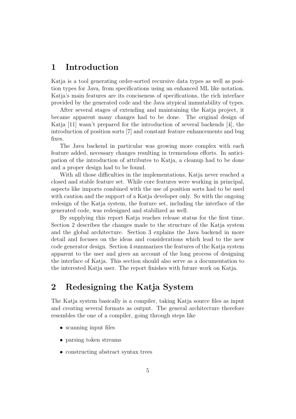# 1 Introduction

Katja is a tool generating order-sorted recursive data types as well as position types for Java, from specifications using an enhanced ML like notation. Katja's main features are its conciseness of specifications, the rich interface provided by the generated code and the Java atypical immutability of types.

After several stages of extending and maintaining the Katja project, it became apparent many changes had to be done. The original design of Katja [11] wasn't prepared for the introduction of several backends [4], the introduction of position sorts [7] and constant feature enhancements and bug fixes.

The Java backend in particular was growing more complex with each feature added, necessary changes resulting in tremendous efforts. In anticipation of the introduction of attributes to Katja, a cleanup had to be done and a proper design had to be found.

With all those difficulties in the implementations, Katja never reached a closed and stable feature set. While core features were working in principal, aspects like imports combined with the use of position sorts had to be used with caution and the support of a Katja developer only. So with the ongoing redesign of the Katja system, the feature set, including the interface of the generated code, was redesigned and stabilized as well.

By supplying this report Katja reaches release status for the first time. Section 2 describes the changes made to the structure of the Katja system and the global architecture. Section 3 explains the Java backend in more detail and focuses on the ideas and considerations which lead to the new code generator design. Section 4 summarizes the features of the Katja system apparent to the user and gives an account of the long process of designing the interface of Katja. This section should also serve as a documentation to the interested Katja user. The report finishes with future work on Katja.

# 2 Redesigning the Katja System

The Katja system basically is a compiler, taking Katja source files as input and creating several formats as output. The general architecture therefore resembles the one of a compiler, going through steps like

- scanning input files
- parsing token streams
- constructing abstract syntax trees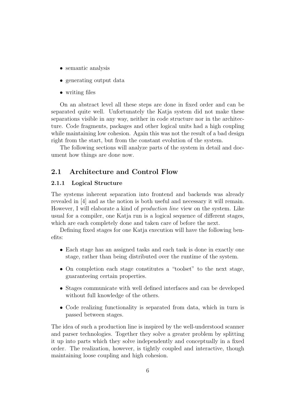- semantic analysis
- generating output data
- writing files

On an abstract level all these steps are done in fixed order and can be separated quite well. Unfortunately the Katja system did not make these separations visible in any way, neither in code structure nor in the architecture. Code fragments, packages and other logical units had a high coupling while maintaining low cohesion. Again this was not the result of a bad design right from the start, but from the constant evolution of the system.

The following sections will analyze parts of the system in detail and document how things are done now.

# 2.1 Architecture and Control Flow

#### 2.1.1 Logical Structure

The systems inherent separation into frontend and backends was already revealed in [4] and as the notion is both useful and necessary it will remain. However, I will elaborate a kind of production line view on the system. Like usual for a compiler, one Katja run is a logical sequence of different stages, which are each completely done and taken care of before the next.

Defining fixed stages for one Katja execution will have the following benefits:

- Each stage has an assigned tasks and each task is done in exactly one stage, rather than being distributed over the runtime of the system.
- On completion each stage constitutes a "toolset" to the next stage, guaranteeing certain properties.
- Stages communicate with well defined interfaces and can be developed without full knowledge of the others.
- Code realizing functionality is separated from data, which in turn is passed between stages.

The idea of such a production line is inspired by the well-understood scanner and parser technologies. Together they solve a greater problem by splitting it up into parts which they solve independently and conceptually in a fixed order. The realization, however, is tightly coupled and interactive, though maintaining loose coupling and high cohesion.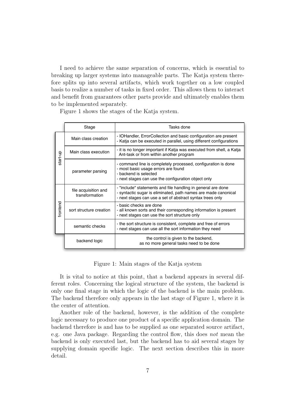I need to achieve the same separation of concerns, which is essential to breaking up larger systems into manageable parts. The Katja system therefore splits up into several artifacts, which work together on a low coupled basis to realize a number of tasks in fixed order. This allows them to interact and benefit from guarantees other parts provide and ultimately enables them to be implemented separately.

Figure 1 shows the stages of the Katja system.

|          | Stage                                  | Tasks done                                                                                                                                                                                  |
|----------|----------------------------------------|---------------------------------------------------------------------------------------------------------------------------------------------------------------------------------------------|
|          | Main class creation                    | - IOHandler, ErrorCollection and basic configuration are present<br>- Katia can be executed in parallel, using different configurations                                                     |
| start-up | Main class execution                   | - it is no longer important if Katja was executed from shell, a Katja<br>Ant-task or from within another program                                                                            |
|          | parameter parsing                      | - command line is completely processed, configuration is done<br>- most basic usage errors are found<br>- backend is selected<br>- next stages can use the configuration object only        |
|          | file acquisition and<br>transformation | - "include" statements and file handling in general are done<br>- syntactic sugar is eliminated, path names are made canonical<br>- next stages can use a set of abstract syntax trees only |
| frontend | sort structure creation                | - basic checks are done<br>- all known sorts and their corresponding information is present<br>- next stages can use the sort structure only                                                |
|          | semantic checks                        | - the sort structure is consistent, complete and free of errors<br>- next stages can use all the sort information they need                                                                 |
|          | backend logic                          | the control is given to the backend,<br>as no more general tasks need to be done                                                                                                            |

Figure 1: Main stages of the Katja system

It is vital to notice at this point, that a backend appears in several different roles. Concerning the logical structure of the system, the backend is only one final stage in which the logic of the backend is the main problem. The backend therefore only appears in the last stage of Figure 1, where it is the center of attention.

Another role of the backend, however, is the addition of the complete logic necessary to produce one product of a specific application domain. The backend therefore is and has to be supplied as one separated source artifact, e.g. one Java package. Regarding the control flow, this does not mean the backend is only executed last, but the backend has to aid several stages by supplying domain specific logic. The next section describes this in more detail.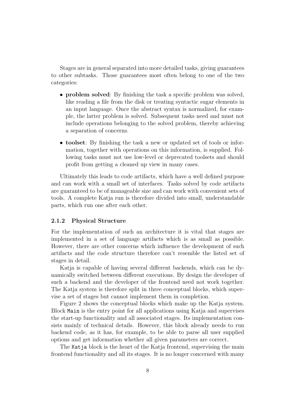Stages are in general separated into more detailed tasks, giving guarantees to other subtasks. Those guarantees most often belong to one of the two categories:

- **problem solved**: By finishing the task a specific problem was solved, like reading a file from the disk or treating syntactic sugar elements in an input language. Once the abstract syntax is normalized, for example, the latter problem is solved. Subsequent tasks need and must not include operations belonging to the solved problem, thereby achieving a separation of concerns.
- toolset: By finishing the task a new or updated set of tools or information, together with operations on this information, is supplied. Following tasks must not use low-level or deprecated toolsets and should profit from getting a cleaned up view in many cases.

Ultimately this leads to code artifacts, which have a well defined purpose and can work with a small set of interfaces. Tasks solved by code artifacts are guaranteed to be of manageable size and can work with convenient sets of tools. A complete Katja run is therefore divided into small, understandable parts, which run one after each other.

#### 2.1.2 Physical Structure

For the implementation of such an architecture it is vital that stages are implemented in a set of language artifacts which is as small as possible. However, there are other concerns which influence the development of such artifacts and the code structure therefore can't resemble the listed set of stages in detail.

Katja is capable of having several different backends, which can be dynamically switched between different executions. By design the developer of such a backend and the developer of the frontend need not work together. The Katja system is therefore split in three conceptual blocks, which supervise a set of stages but cannot implement them in completion.

Figure 2 shows the conceptual blocks which make up the Katja system. Block Main is the entry point for all applications using Katja and supervises the start-up functionality and all associated stages. Its implementation consists mainly of technical details. However, this block already needs to run backend code, as it has, for example, to be able to parse all user supplied options and get information whether all given parameters are correct.

The Katja block is the heart of the Katja frontend, supervising the main frontend functionality and all its stages. It is no longer concerned with many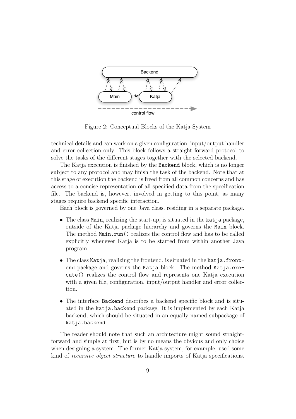

Figure 2: Conceptual Blocks of the Katja System

technical details and can work on a given configuration, input/output handler and error collection only. This block follows a straight forward protocol to solve the tasks of the different stages together with the selected backend.

The Katja execution is finished by the Backend block, which is no longer subject to any protocol and may finish the task of the backend. Note that at this stage of execution the backend is freed from all common concerns and has access to a concise representation of all specified data from the specification file. The backend is, however, involved in getting to this point, as many stages require backend specific interaction.

Each block is governed by one Java class, residing in a separate package.

- The class Main, realizing the start-up, is situated in the katja package, outside of the Katja package hierarchy and governs the Main block. The method Main.run() realizes the control flow and has to be called explicitly whenever Katja is to be started from within another Java program.
- The class Katja, realizing the frontend, is situated in the katja.frontend package and governs the Katja block. The method Katja.execute() realizes the control flow and represents one Katja execution with a given file, configuration, input/output handler and error collection.
- The interface Backend describes a backend specific block and is situated in the katja.backend package. It is implemented by each Katja backend, which should be situated in an equally named subpackage of katja.backend.

The reader should note that such an architecture might sound straightforward and simple at first, but is by no means the obvious and only choice when designing a system. The former Katja system, for example, used some kind of recursive object structure to handle imports of Katja specifications.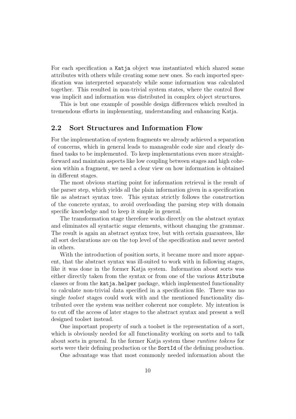For each specification a Katja object was instantiated which shared some attributes with others while creating some new ones. So each imported specification was interpreted separately while some information was calculated together. This resulted in non-trivial system states, where the control flow was implicit and information was distributed in complex object structures.

This is but one example of possible design differences which resulted in tremendous efforts in implementing, understanding and enhancing Katja.

## 2.2 Sort Structures and Information Flow

For the implementation of system fragments we already achieved a separation of concerns, which in general leads to manageable code size and clearly defined tasks to be implemented. To keep implementations even more straightforward and maintain aspects like low coupling between stages and high cohesion within a fragment, we need a clear view on how information is obtained in different stages.

The most obvious starting point for information retrieval is the result of the parser step, which yields all the plain information given in a specification file as abstract syntax tree. This syntax strictly follows the construction of the concrete syntax, to avoid overloading the parsing step with domain specific knowledge and to keep it simple in general.

The transformation stage therefore works directly on the abstract syntax and eliminates all syntactic sugar elements, without changing the grammar. The result is again an abstract syntax tree, but with certain guarantees, like all sort declarations are on the top level of the specification and never nested in others.

With the introduction of position sorts, it became more and more apparent, that the abstract syntax was ill-suited to work with in following stages, like it was done in the former Katja system. Information about sorts was either directly taken from the syntax or from one of the various Attribute classes or from the katja.helper package, which implemented functionality to calculate non-trivial data specified in a specification file. There was no single toolset stages could work with and the mentioned functionality distributed over the system was neither coherent nor complete. My intention is to cut off the access of later stages to the abstract syntax and present a well designed toolset instead.

One important property of such a toolset is the representation of a sort, which is obviously needed for all functionality working on sorts and to talk about sorts in general. In the former Katja system these runtime tokens for sorts were their defining production or the SortId of the defining production.

One advantage was that most commonly needed information about the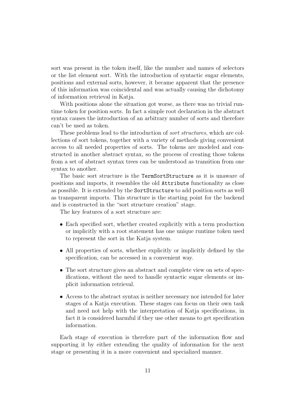sort was present in the token itself, like the number and names of selectors or the list element sort. With the introduction of syntactic sugar elements, positions and external sorts, however, it became apparent that the presence of this information was coincidental and was actually causing the dichotomy of information retrieval in Katja.

With positions alone the situation got worse, as there was no trivial runtime token for position sorts. In fact a simple root declaration in the abstract syntax causes the introduction of an arbitrary number of sorts and therefore can't be used as token.

These problems lead to the introduction of sort structures, which are collections of sort tokens, together with a variety of methods giving convenient access to all needed properties of sorts. The tokens are modeled and constructed in another abstract syntax, so the process of creating those tokens from a set of abstract syntax trees can be understood as transition from one syntax to another.

The basic sort structure is the TermSortStructure as it is unaware of positions and imports, it resembles the old Attribute functionality as close as possible. It is extended by the SortStructure to add position sorts as well as transparent imports. This structure is the starting point for the backend and is constructed in the "sort structure creation" stage.

The key features of a sort structure are:

- Each specified sort, whether created explicitly with a term production or implicitly with a root statement has one unique runtime token used to represent the sort in the Katja system.
- All properties of sorts, whether explicitly or implicitly defined by the specification, can be accessed in a convenient way.
- The sort structure gives an abstract and complete view on sets of specifications, without the need to handle syntactic sugar elements or implicit information retrieval.
- Access to the abstract syntax is neither necessary nor intended for later stages of a Katja execution. These stages can focus on their own task and need not help with the interpretation of Katja specifications, in fact it is considered harmful if they use other means to get specification information.

Each stage of execution is therefore part of the information flow and supporting it by either extending the quality of information for the next stage or presenting it in a more convenient and specialized manner.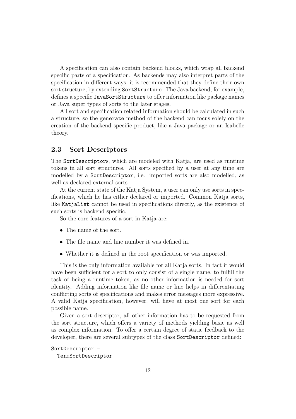A specification can also contain backend blocks, which wrap all backend specific parts of a specification. As backends may also interpret parts of the specification in different ways, it is recommended that they define their own sort structure, by extending SortStructure. The Java backend, for example, defines a specific JavaSortStructure to offer information like package names or Java super types of sorts to the later stages.

All sort and specification related information should be calculated in such a structure, so the generate method of the backend can focus solely on the creation of the backend specific product, like a Java package or an Isabelle theory.

#### 2.3 Sort Descriptors

The SortDescriptors, which are modeled with Katja, are used as runtime tokens in all sort structures. All sorts specified by a user at any time are modelled by a SortDescriptor, i.e. imported sorts are also modelled, as well as declared external sorts.

At the current state of the Katja System, a user can only use sorts in specifications, which he has either declared or imported. Common Katja sorts, like KatjaList cannot be used in specifications directly, as the existence of such sorts is backend specific.

So the core features of a sort in Katja are:

- The name of the sort.
- The file name and line number it was defined in.
- Whether it is defined in the root specification or was imported.

This is the only information available for all Katja sorts. In fact it would have been sufficient for a sort to only consist of a single name, to fulfill the task of being a runtime token, as no other information is needed for sort identity. Adding information like file name or line helps in differentiating conflicting sorts of specifications and makes error messages more expressive. A valid Katja specification, however, will have at most one sort for each possible name.

Given a sort descriptor, all other information has to be requested from the sort structure, which offers a variety of methods yielding basic as well as complex information. To offer a certain degree of static feedback to the developer, there are several subtypes of the class SortDescriptor defined:

```
SortDescriptor =
  TermSortDescriptor
```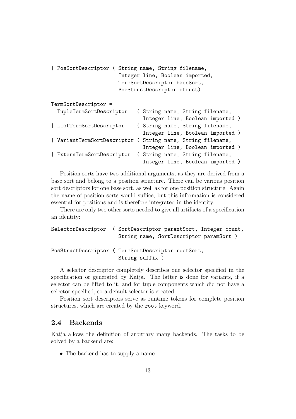| PosSortDescriptor ( String name, String filename, | Integer line, Boolean imported,<br>TermSortDescriptor baseSort,<br>PosStructDescriptor struct) |  |
|---------------------------------------------------|------------------------------------------------------------------------------------------------|--|
| TermSortDescriptor =                              |                                                                                                |  |
| TupleTermSortDescriptor                           | (String name, String filename,                                                                 |  |
|                                                   | Integer line, Boolean imported)                                                                |  |
| ListTermSortDescriptor                            | (String name, String filename,                                                                 |  |
|                                                   | Integer line, Boolean imported)                                                                |  |
| VariantTermSortDescriptor (                       | String name, String filename,                                                                  |  |
|                                                   | Integer line, Boolean imported )                                                               |  |
| ExternTermSortDescriptor                          | (String name, String filename,                                                                 |  |
|                                                   | Integer line, Boolean imported)                                                                |  |

Position sorts have two additional arguments, as they are derived from a base sort and belong to a position structure. There can be various position sort descriptors for one base sort, as well as for one position structure. Again the name of position sorts would suffice, but this information is considered essential for positions and is therefore integrated in the identity.

There are only two other sorts needed to give all artifacts of a specification an identity:

SelectorDescriptor ( SortDescriptor parentSort, Integer count, String name, SortDescriptor paramSort )

# PosStructDescriptor ( TermSortDescriptor rootSort, String suffix )

A selector descriptor completely describes one selector specified in the specification or generated by Katja. The latter is done for variants, if a selector can be lifted to it, and for tuple components which did not have a selector specified, so a default selector is created.

Position sort descriptors serve as runtime tokens for complete position structures, which are created by the root keyword.

## 2.4 Backends

Katja allows the definition of arbitrary many backends. The tasks to be solved by a backend are:

• The backend has to supply a name.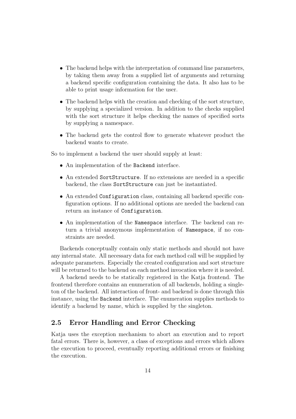- The backend helps with the interpretation of command line parameters, by taking them away from a supplied list of arguments and returning a backend specific configuration containing the data. It also has to be able to print usage information for the user.
- The backend helps with the creation and checking of the sort structure, by supplying a specialized version. In addition to the checks supplied with the sort structure it helps checking the names of specified sorts by supplying a namespace.
- The backend gets the control flow to generate whatever product the backend wants to create.

So to implement a backend the user should supply at least:

- An implementation of the Backend interface.
- An extended SortStructure. If no extensions are needed in a specific backend, the class SortStructure can just be instantiated.
- An extended Configuration class, containing all backend specific configuration options. If no additional options are needed the backend can return an instance of Configuration.
- An implementation of the Namespace interface. The backend can return a trivial anonymous implementation of Namespace, if no constraints are needed.

Backends conceptually contain only static methods and should not have any internal state. All necessary data for each method call will be supplied by adequate parameters. Especially the created configuration and sort structure will be returned to the backend on each method invocation where it is needed.

A backend needs to be statically registered in the Katja frontend. The frontend therefore contains an enumeration of all backends, holding a singleton of the backend. All interaction of front- and backend is done through this instance, using the Backend interface. The enumeration supplies methods to identify a backend by name, which is supplied by the singleton.

# 2.5 Error Handling and Error Checking

Katja uses the exception mechanism to abort an execution and to report fatal errors. There is, however, a class of exceptions and errors which allows the execution to proceed, eventually reporting additional errors or finishing the execution.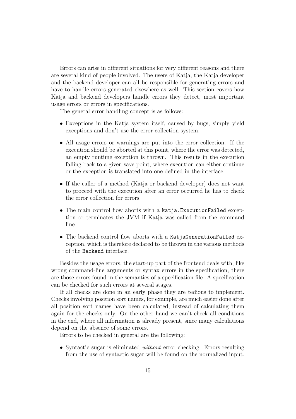Errors can arise in different situations for very different reasons and there are several kind of people involved. The users of Katja, the Katja developer and the backend developer can all be responsible for generating errors and have to handle errors generated elsewhere as well. This section covers how Katja and backend developers handle errors they detect, most important usage errors or errors in specifications.

The general error handling concept is as follows:

- Exceptions in the Katja system itself, caused by bugs, simply yield exceptions and don't use the error collection system.
- All usage errors or warnings are put into the error collection. If the execution should be aborted at this point, where the error was detected, an empty runtime exception is thrown. This results in the execution falling back to a given save point, where execution can either continue or the exception is translated into one defined in the interface.
- If the caller of a method (Katja or backend developer) does not want to proceed with the execution after an error occurred he has to check the error collection for errors.
- The main control flow aborts with a katja.ExecutionFailed exception or terminates the JVM if Katja was called from the command line.
- The backend control flow aborts with a KatjaGenerationFailed exception, which is therefore declared to be thrown in the various methods of the Backend interface.

Besides the usage errors, the start-up part of the frontend deals with, like wrong command-line arguments or syntax errors in the specification, there are those errors found in the semantics of a specification file. A specification can be checked for such errors at several stages.

If all checks are done in an early phase they are tedious to implement. Checks involving position sort names, for example, are much easier done after all position sort names have been calculated, instead of calculating them again for the checks only. On the other hand we can't check all conditions in the end, where all information is already present, since many calculations depend on the absence of some errors.

Errors to be checked in general are the following:

• Syntactic sugar is eliminated *without* error checking. Errors resulting from the use of syntactic sugar will be found on the normalized input.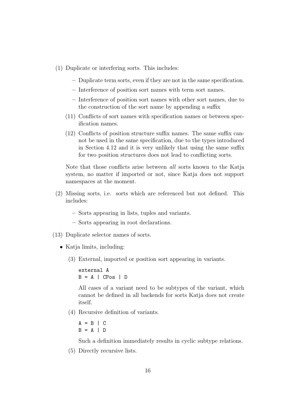- (1) Duplicate or interfering sorts. This includes:
	- Duplicate term sorts, even if they are not in the same specification.
	- Interference of position sort names with term sort names.
	- Interference of position sort names with other sort names, due to the construction of the sort name by appending a suffix
	- (11) Conflicts of sort names with specification names or between specification names.
	- (12) Conflicts of position structure suffix names. The same suffix cannot be used in the same specification, due to the types introduced in Section 4.12 and it is very unlikely that using the same suffix for two position structures does not lead to conflicting sorts.

Note that those conflicts arise between all sorts known to the Katja system, no matter if imported or not, since Katja does not support namespaces at the moment.

- (2) Missing sorts, i.e. sorts which are referenced but not defined. This includes:
	- Sorts appearing in lists, tuples and variants.
	- Sorts appearing in root declarations.
- (13) Duplicate selector names of sorts.
	- Katja limits, including:
		- (3) External, imported or position sort appearing in variants.

external A  $B = A \mid CPos \mid D$ 

All cases of a variant need to be subtypes of the variant, which cannot be defined in all backends for sorts Katja does not create itself.

(4) Recursive definition of variants.

$$
A = B \mid C
$$
  

$$
B = A \mid D
$$

Such a definition immediately results in cyclic subtype relations.

(5) Directly recursive lists.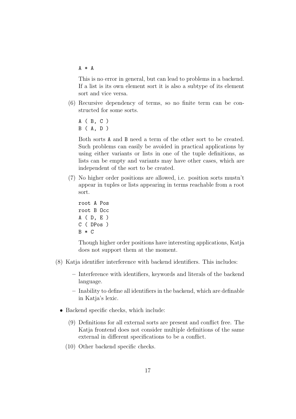A \* A

This is no error in general, but can lead to problems in a backend. If a list is its own element sort it is also a subtype of its element sort and vice versa.

- (6) Recursive dependency of terms, so no finite term can be constructed for some sorts.
	- A ( B, C ) B ( A, D )

Both sorts A and B need a term of the other sort to be created. Such problems can easily be avoided in practical applications by using either variants or lists in one of the tuple definitions, as lists can be empty and variants may have other cases, which are independent of the sort to be created.

(7) No higher order positions are allowed, i.e. position sorts mustn't appear in tuples or lists appearing in terms reachable from a root sort.

```
root A Pos
root B Occ
A ( D, E )
C ( DPos )
B * C
```
Though higher order positions have interesting applications, Katja does not support them at the moment.

- (8) Katja identifier interference with backend identifiers. This includes:
	- Interference with identifiers, keywords and literals of the backend language.
	- Inability to define all identifiers in the backend, which are definable in Katja's lexic.
	- Backend specific checks, which include:
		- (9) Definitions for all external sorts are present and conflict free. The Katja frontend does not consider multiple definitions of the same external in different specifications to be a conflict.
		- (10) Other backend specific checks.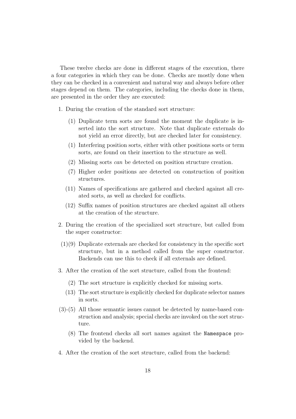These twelve checks are done in different stages of the execution, there a four categories in which they can be done. Checks are mostly done when they can be checked in a convenient and natural way and always before other stages depend on them. The categories, including the checks done in them, are presented in the order they are executed:

- 1. During the creation of the standard sort structure:
	- (1) Duplicate term sorts are found the moment the duplicate is inserted into the sort structure. Note that duplicate externals do not yield an error directly, but are checked later for consistency.
	- (1) Interfering position sorts, either with other positions sorts or term sorts, are found on their insertion to the structure as well.
	- (2) Missing sorts can be detected on position structure creation.
	- (7) Higher order positions are detected on construction of position structures.
	- (11) Names of specifications are gathered and checked against all created sorts, as well as checked for conflicts.
	- (12) Suffix names of position structures are checked against all others at the creation of the structure.
- 2. During the creation of the specialized sort structure, but called from the super constructor:
- (1)(9) Duplicate externals are checked for consistency in the specific sort structure, but in a method called from the super constructor. Backends can use this to check if all externals are defined.
- 3. After the creation of the sort structure, called from the frontend:
	- (2) The sort structure is explicitly checked for missing sorts.
	- (13) The sort structure is explicitly checked for duplicate selector names in sorts.
- (3)-(5) All those semantic issues cannot be detected by name-based construction and analysis; special checks are invoked on the sort structure.
	- (8) The frontend checks all sort names against the Namespace provided by the backend.
- 4. After the creation of the sort structure, called from the backend: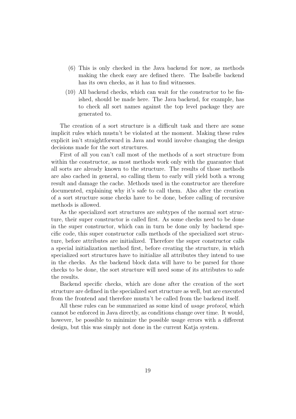- (6) This is only checked in the Java backend for now, as methods making the check easy are defined there. The Isabelle backend has its own checks, as it has to find witnesses.
- (10) All backend checks, which can wait for the constructor to be finished, should be made here. The Java backend, for example, has to check all sort names against the top level package they are generated to.

The creation of a sort structure is a difficult task and there are some implicit rules which mustn't be violated at the moment. Making these rules explicit isn't straightforward in Java and would involve changing the design decisions made for the sort structures.

First of all you can't call most of the methods of a sort structure from within the constructor, as most methods work only with the guarantee that all sorts are already known to the structure. The results of those methods are also cached in general, so calling them to early will yield both a wrong result and damage the cache. Methods used in the constructor are therefore documented, explaining why it's safe to call them. Also after the creation of a sort structure some checks have to be done, before calling of recursive methods is allowed.

As the specialized sort structures are subtypes of the normal sort structure, their super constructor is called first. As some checks need to be done in the super constructor, which can in turn be done only by backend specific code, this super constructor calls methods of the specialized sort structure, before attributes are initialized. Therefore the super constructor calls a special initialization method first, before creating the structure, in which specialized sort structures have to initialize all attributes they intend to use in the checks. As the backend block data will have to be parsed for those checks to be done, the sort structure will need some of its attributes to safe the results.

Backend specific checks, which are done after the creation of the sort structure are defined in the specialized sort structure as well, but are executed from the frontend and therefore mustn't be called from the backend itself.

All these rules can be summarized as some kind of *usage protocol*, which cannot be enforced in Java directly, as conditions change over time. It would, however, be possible to minimize the possible usage errors with a different design, but this was simply not done in the current Katja system.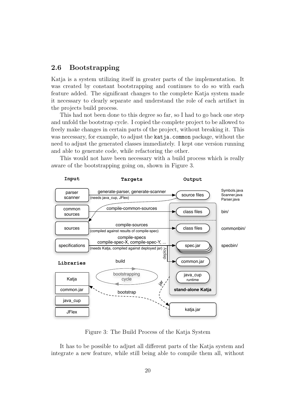# 2.6 Bootstrapping

Katja is a system utilizing itself in greater parts of the implementation. It was created by constant bootstrapping and continues to do so with each feature added. The significant changes to the complete Katja system made it necessary to clearly separate and understand the role of each artifact in the projects build process.

This had not been done to this degree so far, so I had to go back one step and unfold the bootstrap cycle. I copied the complete project to be allowed to freely make changes in certain parts of the project, without breaking it. This was necessary, for example, to adjust the katja.common package, without the need to adjust the generated classes immediately. I kept one version running and able to generate code, while refactoring the other.

This would not have been necessary with a build process which is really aware of the bootstrapping going on, shown in Figure 3.



Figure 3: The Build Process of the Katja System

It has to be possible to adjust all different parts of the Katja system and integrate a new feature, while still being able to compile them all, without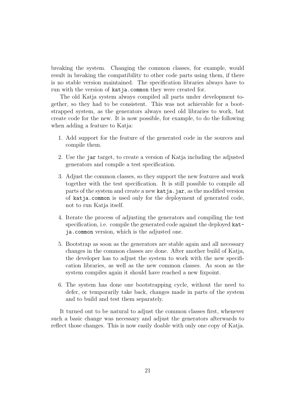breaking the system. Changing the common classes, for example, would result in breaking the compatibility to other code parts using them, if there is no stable version maintained. The specification libraries always have to run with the version of katja.common they were created for.

The old Katja system always compiled all parts under development together, so they had to be consistent. This was not achievable for a bootstrapped system, as the generators always need old libraries to work, but create code for the new. It is now possible, for example, to do the following when adding a feature to Katja:

- 1. Add support for the feature of the generated code in the sources and compile them.
- 2. Use the jar target, to create a version of Katja including the adjusted generators and compile a test specification.
- 3. Adjust the common classes, so they support the new features and work together with the test specification. It is still possible to compile all parts of the system and create a new katja.jar, as the modified version of katja.common is used only for the deployment of generated code, not to run Katja itself.
- 4. Iterate the process of adjusting the generators and compiling the test specification, i.e. compile the generated code against the deployed katja.common version, which is the adjusted one.
- 5. Bootstrap as soon as the generators are stable again and all necessary changes in the common classes are done. After another build of Katja, the developer has to adjust the system to work with the new specification libraries, as well as the new common classes. As soon as the system compiles again it should have reached a new fixpoint.
- 6. The system has done one bootstrapping cycle, without the need to defer, or temporarily take back, changes made in parts of the system and to build and test them separately.

It turned out to be natural to adjust the common classes first, whenever such a basic change was necessary and adjust the generators afterwards to reflect those changes. This is now easily doable with only one copy of Katja.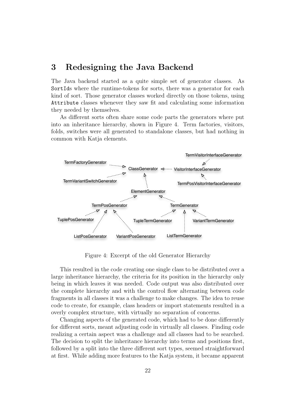# 3 Redesigning the Java Backend

The Java backend started as a quite simple set of generator classes. As SortIds where the runtime-tokens for sorts, there was a generator for each kind of sort. Those generator classes worked directly on those tokens, using Attribute classes whenever they saw fit and calculating some information they needed by themselves.

As different sorts often share some code parts the generators where put into an inheritance hierarchy, shown in Figure 4. Term factories, visitors, folds, switches were all generated to standalone classes, but had nothing in common with Katja elements.



Figure 4: Excerpt of the old Generator Hierarchy

This resulted in the code creating one single class to be distributed over a large inheritance hierarchy, the criteria for its position in the hierarchy only being in which leaves it was needed. Code output was also distributed over the complete hierarchy and with the control flow alternating between code fragments in all classes it was a challenge to make changes. The idea to reuse code to create, for example, class headers or import statements resulted in a overly complex structure, with virtually no separation of concerns.

Changing aspects of the generated code, which had to be done differently for different sorts, meant adjusting code in virtually all classes. Finding code realizing a certain aspect was a challenge and all classes had to be searched. The decision to split the inheritance hierarchy into terms and positions first, followed by a split into the three different sort types, seemed straightforward at first. While adding more features to the Katja system, it became apparent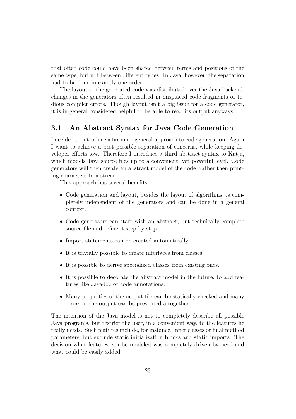that often code could have been shared between terms and positions of the same type, but not between different types. In Java, however, the separation had to be done in exactly one order.

The layout of the generated code was distributed over the Java backend, changes in the generators often resulted in misplaced code fragments or tedious compiler errors. Though layout isn't a big issue for a code generator, it is in general considered helpful to be able to read its output anyways.

# 3.1 An Abstract Syntax for Java Code Generation

I decided to introduce a far more general approach to code generation. Again I want to achieve a best possible separation of concerns, while keeping developer efforts low. Therefore I introduce a third abstract syntax to Katja, which models Java source files up to a convenient, yet powerful level. Code generators will then create an abstract model of the code, rather then printing characters to a stream.

This approach has several benefits:

- Code generation and layout, besides the layout of algorithms, is completely independent of the generators and can be done in a general context.
- Code generators can start with an abstract, but technically complete source file and refine it step by step.
- Import statements can be created automatically.
- It is trivially possible to create interfaces from classes.
- It is possible to derive specialized classes from existing ones.
- It is possible to decorate the abstract model in the future, to add features like Javadoc or code annotations.
- Many properties of the output file can be statically checked and many errors in the output can be prevented altogether.

The intention of the Java model is not to completely describe all possible Java programs, but restrict the user, in a convenient way, to the features he really needs. Such features include, for instance, inner classes or final method parameters, but exclude static initialization blocks and static imports. The decision what features can be modeled was completely driven by need and what could be easily added.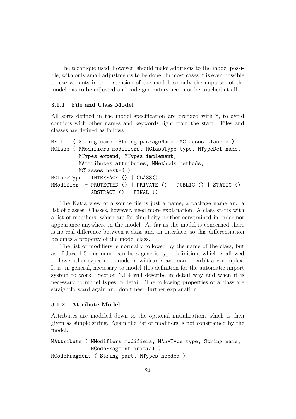The technique used, however, should make additions to the model possible, with only small adjustments to be done. In most cases it is even possible to use variants in the extension of the model, so only the unparser of the model has to be adjusted and code generators need not be touched at all.

#### 3.1.1 File and Class Model

All sorts defined in the model specification are prefixed with M, to avoid conflicts with other names and keywords right from the start. Files and classes are defined as follows:

```
MFile ( String name, String packageName, MClasses classes )
MClass ( MModifiers modifiers, MClassType type, MTypeDef name,
         MTypes extend, MTypes implement,
         MAttributes attributes, MMethods methods,
         MClasses nested )
MClassType = INTERFACE () | CLASS()
MModifier = PROTECTED () | PRIVATE () | PUBLIC () | STATIC ()
           | ABSTRACT () | FINAL ()
```
The Katja view of a source file is just a name, a package name and a list of classes. Classes, however, need more explanation. A class starts with a list of modifiers, which are for simplicity neither constrained in order nor appearance anywhere in the model. As far as the model is concerned there is no real difference between a class and an interface, so this differentiation becomes a property of the model class.

The list of modifiers is normally followed by the name of the class, but as of Java 1.5 this name can be a generic type definition, which is allowed to have other types as bounds in wildcards and can be arbitrary complex. It is, in general, necessary to model this definition for the automatic import system to work. Section 3.1.4 will describe in detail why and when it is necessary to model types in detail. The following properties of a class are straightforward again and don't need further explanation.

#### 3.1.2 Attribute Model

Attributes are modeled down to the optional initialization, which is then given as simple string. Again the list of modifiers is not constrained by the model.

```
MAttribute ( MModifiers modifiers, MAnyType type, String name,
             MCodeFragment initial )
MCodeFragment ( String part, MTypes needed )
```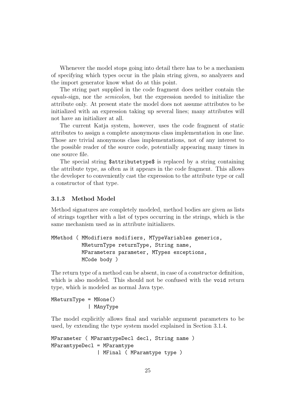Whenever the model stops going into detail there has to be a mechanism of specifying which types occur in the plain string given, so analyzers and the import generator know what do at this point.

The string part supplied in the code fragment does neither contain the equals-sign, nor the semicolon, but the expression needed to initialize the attribute only. At present state the model does not assume attributes to be initialized with an expression taking up several lines; many attributes will not have an initializer at all.

The current Katja system, however, uses the code fragment of static attributes to assign a complete anonymous class implementation in one line. Those are trivial anonymous class implementations, not of any interest to the possible reader of the source code, potentially appearing many times in one source file.

The special string  $$$ attributetype\$ is replaced by a string containing the attribute type, as often as it appears in the code fragment. This allows the developer to conveniently cast the expression to the attribute type or call a constructor of that type.

#### 3.1.3 Method Model

Method signatures are completely modeled, method bodies are given as lists of strings together with a list of types occurring in the strings, which is the same mechanism used as in attribute initializers.

```
MMethod ( MModifiers modifiers, MTypeVariables generics,
          MReturnType returnType, String name,
          MParameters parameter, MTypes exceptions,
          MCode body )
```
The return type of a method can be absent, in case of a constructor definition, which is also modeled. This should not be confused with the void return type, which is modeled as normal Java type.

MReturnType = MNone() | MAnyType

The model explicitly allows final and variable argument parameters to be used, by extending the type system model explained in Section 3.1.4.

```
MParameter ( MParamtypeDecl decl, String name )
MParamtypeDecl = MParamtype
               | MFinal ( MParamtype type )
```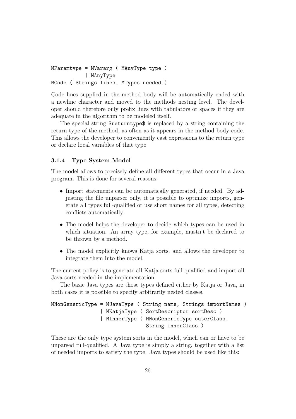```
MParamtype = MVararg ( MAnyType type )
           | MAnyType
MCode ( Strings lines, MTypes needed )
```
Code lines supplied in the method body will be automatically ended with a newline character and moved to the methods nesting level. The developer should therefore only prefix lines with tabulators or spaces if they are adequate in the algorithm to be modeled itself.

The special string \$returntype\$ is replaced by a string containing the return type of the method, as often as it appears in the method body code. This allows the developer to conveniently cast expressions to the return type or declare local variables of that type.

#### 3.1.4 Type System Model

The model allows to precisely define all different types that occur in a Java program. This is done for several reasons:

- Import statements can be automatically generated, if needed. By adjusting the file unparser only, it is possible to optimize imports, generate all types full-qualified or use short names for all types, detecting conflicts automatically.
- The model helps the developer to decide which types can be used in which situation. An array type, for example, mustn't be declared to be thrown by a method.
- The model explicitly knows Katja sorts, and allows the developer to integrate them into the model.

The current policy is to generate all Katja sorts full-qualified and import all Java sorts needed in the implementation.

The basic Java types are those types defined either by Katja or Java, in both cases it is possible to specify arbitrarily nested classes.

```
MNonGenericType = MJavaType ( String name, Strings importNames )
                | MKatjaType ( SortDescriptor sortDesc )
                | MInnerType ( MNonGenericType outerClass,
                               String innerClass )
```
These are the only type system sorts in the model, which can or have to be unparsed full-qualified. A Java type is simply a string, together with a list of needed imports to satisfy the type. Java types should be used like this: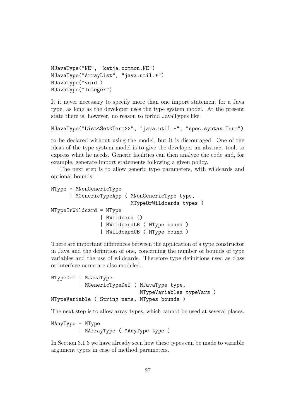```
MJavaType("NE", "katja.common.NE")
MJavaType("ArrayList", "java.util.*")
MJavaType("void")
MJavaType("Integer")
```
It it never necessary to specify more than one import statement for a Java type, as long as the developer uses the type system model. At the present state there is, however, no reason to forbid JavaTypes like

```
MJavaType("List<Set<Term>>", "java.util.*", "spec.syntax.Term")
```
to be declared without using the model, but it is discouraged. One of the ideas of the type system model is to give the developer an abstract tool, to express what he needs. Generic facilities can then analyze the code and, for example, generate import statements following a given policy.

The next step is to allow generic type parameters, with wildcards and optional bounds.

```
MType = MNonGenericType
      | MGenericTypeApp ( MNonGenericType type,
                          MTypeOrWildcards types )
MTypeOrWildcard = MType
                | MWildcard ()
                | MWildcardLB ( MType bound )
                | MWildcardUB ( MType bound )
```
There are important differences between the application of a type constructor in Java and the definition of one, concerning the number of bounds of type variables and the use of wildcards. Therefore type definitions used as class or interface name are also modeled.

```
MTypeDef = MJavaType
         | MGenericTypeDef ( MJavaType type,
                             MTypeVariables typeVars )
MTypeVariable ( String name, MTypes bounds )
```
The next step is to allow array types, which cannot be used at several places.

```
MAnyType = MType
         | MArrayType ( MAnyType type )
```
In Section 3.1.3 we have already seen how these types can be made to variable argument types in case of method parameters.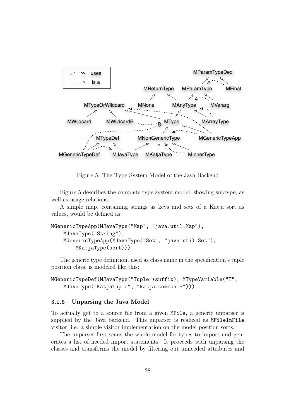

Figure 5: The Type System Model of the Java Backend

Figure 5 describes the complete type system model, showing subtype, as well as usage relations.

A simple map, containing strings as keys and sets of a Katja sort as values, would be defined as:

```
MGenericTypeApp(MJavaType("Map", "java.util.Map"),
    MJavaType("String"),
    MGenericTypeApp(MJavaType("Set", "java.util.Set"),
        MKatjaType(sort)))
```
The generic type definition, used as class name in the specification's tuple position class, is modeled like this:

MGenericTypeDef(MJavaType("Tuple"+suffix), MTypeVariable("T", MJavaType("KatjaTuple", "katja.common.\*")))

#### 3.1.5 Unparsing the Java Model

To actually get to a source file from a given MFile, a generic unparser is supplied by the Java backend. This unparser is realized as MFileInFile visitor, i.e. a simple visitor implementation on the model position sorts.

The unparser first scans the whole model for types to import and generates a list of needed import statements. It proceeds with unparsing the classes and transforms the model by filtering out unneeded attributes and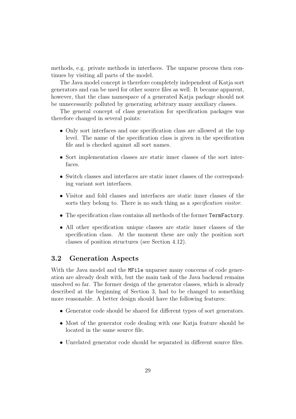methods, e.g. private methods in interfaces. The unparse process then continues by visiting all parts of the model.

The Java model concept is therefore completely independent of Katja sort generators and can be used for other source files as well. It became apparent, however, that the class namespace of a generated Katja package should not be unnecessarily polluted by generating arbitrary many auxiliary classes.

The general concept of class generation for specification packages was therefore changed in several points:

- Only sort interfaces and one specification class are allowed at the top level. The name of the specification class is given in the specification file and is checked against all sort names.
- Sort implementation classes are static inner classes of the sort interfaces.
- Switch classes and interfaces are static inner classes of the corresponding variant sort interfaces.
- Visitor and fold classes and interfaces are static inner classes of the sorts they belong to. There is no such thing as a *specification visitor*.
- The specification class contains all methods of the former TermFactory.
- All other specification unique classes are static inner classes of the specification class. At the moment these are only the position sort classes of position structures (see Section 4.12).

### 3.2 Generation Aspects

With the Java model and the MFile unparser many concerns of code generation are already dealt with, but the main task of the Java backend remains unsolved so far. The former design of the generator classes, which is already described at the beginning of Section 3, had to be changed to something more reasonable. A better design should have the following features:

- Generator code should be shared for different types of sort generators.
- Most of the generator code dealing with one Katja feature should be located in the same source file.
- Unrelated generator code should be separated in different source files.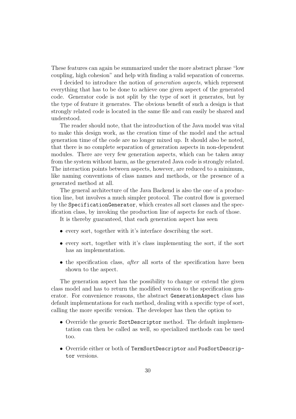These features can again be summarized under the more abstract phrase "low coupling, high cohesion" and help with finding a valid separation of concerns.

I decided to introduce the notion of generation aspects, which represent everything that has to be done to achieve one given aspect of the generated code. Generator code is not split by the type of sort it generates, but by the type of feature it generates. The obvious benefit of such a design is that strongly related code is located in the same file and can easily be shared and understood.

The reader should note, that the introduction of the Java model was vital to make this design work, as the creation time of the model and the actual generation time of the code are no longer mixed up. It should also be noted, that there is no complete separation of generation aspects in non-dependent modules. There are very few generation aspects, which can be taken away from the system without harm, as the generated Java code is strongly related. The interaction points between aspects, however, are reduced to a minimum, like naming conventions of class names and methods, or the presence of a generated method at all.

The general architecture of the Java Backend is also the one of a production line, but involves a much simpler protocol. The control flow is governed by the SpecificationGenerator, which creates all sort classes and the specification class, by invoking the production line of aspects for each of those.

It is thereby guaranteed, that each generation aspect has seen

- every sort, together with it's interface describing the sort.
- every sort, together with it's class implementing the sort, if the sort has an implementation.
- the specification class, *after* all sorts of the specification have been shown to the aspect.

The generation aspect has the possibility to change or extend the given class model and has to return the modified version to the specification generator. For convenience reasons, the abstract GenerationAspect class has default implementations for each method, dealing with a specific type of sort, calling the more specific version. The developer has then the option to

- Override the generic SortDescriptor method. The default implementation can then be called as well, so specialized methods can be used too.
- Override either or both of TermSortDescriptor and PosSortDescriptor versions.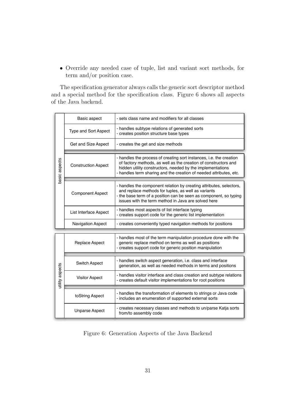• Override any needed case of tuple, list and variant sort methods, for term and/or position case.

The specification generator always calls the generic sort descriptor method and a special method for the specification class. Figure 6 shows all aspects of the Java backend.

|                 | Basic aspect                | - sets class name and modifiers for all classes                                                                                                                                                                                                                            |  |  |  |
|-----------------|-----------------------------|----------------------------------------------------------------------------------------------------------------------------------------------------------------------------------------------------------------------------------------------------------------------------|--|--|--|
|                 | <b>Type and Sort Aspect</b> | - handles subtype relations of generated sorts<br>- creates position structure base types                                                                                                                                                                                  |  |  |  |
|                 | Get and Size Aspect         | - creates the get and size methods                                                                                                                                                                                                                                         |  |  |  |
| basic aspects   | <b>Construction Aspect</b>  | - handles the process of creating sort instances, i.e. the creation<br>of factory methods, as well as the creation of constructors and<br>hidden utility constructors, needed by the implementations<br>- handles term sharing and the creation of needed attributes, etc. |  |  |  |
|                 | <b>Component Aspect</b>     | - handles the component relation by creating attributes, selectors,<br>and replace methods for tuples, as well as variants<br>- the base term of a position can be seen as component, so typing<br>issues with the term method in Java are solved here                     |  |  |  |
|                 | List Interface Aspect       | - handles most aspects of list interface typing<br>- creates support code for the generic list implementation                                                                                                                                                              |  |  |  |
|                 | <b>Navigation Aspect</b>    | - creates conveniently typed navigation methods for positions                                                                                                                                                                                                              |  |  |  |
|                 |                             |                                                                                                                                                                                                                                                                            |  |  |  |
|                 | Replace Aspect              | - handles most of the term manipulation procedure done with the<br>generic replace method on terms as well as positions<br>- creates support code for generic position manipulation                                                                                        |  |  |  |
|                 | <b>Switch Aspect</b>        | - handles switch aspect generation, i.e. class and interface<br>generation, as well as needed methods in terms and positions                                                                                                                                               |  |  |  |
| utility aspects | <b>Visitor Aspect</b>       | - handles visitor interface and class creation and subtype relations<br>- creates default visitor implementations for root positions                                                                                                                                       |  |  |  |
|                 |                             |                                                                                                                                                                                                                                                                            |  |  |  |
|                 | toString Aspect             | - handles the transformation of elements to strings or Java code<br>- includes an enumeration of supported external sorts                                                                                                                                                  |  |  |  |
|                 | <b>Unparse Aspect</b>       | - creates necessary classes and methods to un/parse Katja sorts<br>from/to assembly code                                                                                                                                                                                   |  |  |  |

Figure 6: Generation Aspects of the Java Backend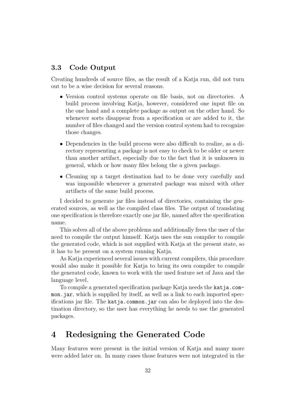### 3.3 Code Output

Creating hundreds of source files, as the result of a Katja run, did not turn out to be a wise decision for several reasons.

- Version control systems operate on file basis, not on directories. A build process involving Katja, however, considered one input file on the one hand and a complete package as output on the other hand. So whenever sorts disappear from a specification or are added to it, the number of files changed and the version control system had to recognize those changes.
- Dependencies in the build process were also difficult to realize, as a directory representing a package is not easy to check to be older or newer than another artifact, especially due to the fact that it is unknown in general, which or how many files belong the a given package.
- Cleaning up a target destination had to be done very carefully and was impossible whenever a generated package was mixed with other artifacts of the same build process.

I decided to generate jar files instead of directories, containing the generated sources, as well as the compiled class files. The output of translating one specification is therefore exactly one jar file, named after the specification name.

This solves all of the above problems and additionally frees the user of the need to compile the output himself. Katja uses the sun compiler to compile the generated code, which is not supplied with Katja at the present state, so it has to be present on a system running Katja.

As Katja experienced several issues with current compilers, this procedure would also make it possible for Katja to bring its own compiler to compile the generated code, known to work with the used feature set of Java and the language level.

To compile a generated specification package Katja needs the katja.common.jar, which is supplied by itself, as well as a link to each imported specifications jar file. The katja.common.jar can also be deployed into the destination directory, so the user has everything he needs to use the generated packages.

# 4 Redesigning the Generated Code

Many features were present in the initial version of Katja and many more were added later on. In many cases those features were not integrated in the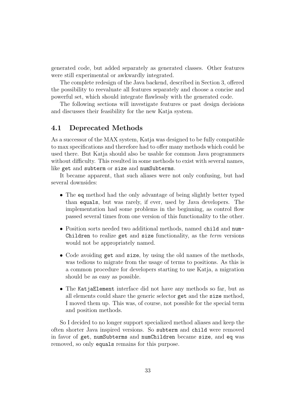generated code, but added separately as generated classes. Other features were still experimental or awkwardly integrated.

The complete redesign of the Java backend, described in Section 3, offered the possibility to reevaluate all features separately and choose a concise and powerful set, which should integrate flawlessly with the generated code.

The following sections will investigate features or past design decisions and discusses their feasibility for the new Katja system.

# 4.1 Deprecated Methods

As a successor of the MAX system, Katja was designed to be fully compatible to max specifications and therefore had to offer many methods which could be used there. But Katja should also be usable for common Java programmers without difficulty. This resulted in some methods to exist with several names, like get and subterm or size and numSubterms.

It became apparent, that such aliases were not only confusing, but had several downsides:

- The eq method had the only advantage of being slightly better typed than equals, but was rarely, if ever, used by Java developers. The implementation had some problems in the beginning, as control flow passed several times from one version of this functionality to the other.
- Position sorts needed two additional methods, named child and num-Children to realize get and size functionality, as the *term* versions would not be appropriately named.
- Code avoiding get and size, by using the old names of the methods, was tedious to migrate from the usage of terms to positions. As this is a common procedure for developers starting to use Katja, a migration should be as easy as possible.
- The KatjaElement interface did not have any methods so far, but as all elements could share the generic selector get and the size method, I moved them up. This was, of course, not possible for the special term and position methods.

So I decided to no longer support specialized method aliases and keep the often shorter Java inspired versions. So subterm and child were removed in favor of get, numSubterms and numChildren became size, and eq was removed, so only equals remains for this purpose.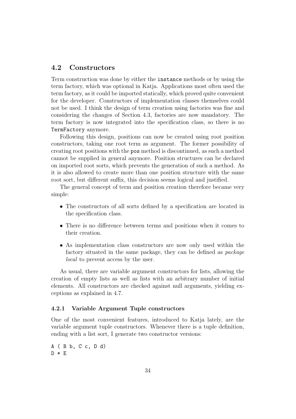### 4.2 Constructors

Term construction was done by either the instance methods or by using the term factory, which was optional in Katja. Applications most often used the term factory, as it could be imported statically, which proved quite convenient for the developer. Constructors of implementation classes themselves could not be used. I think the design of term creation using factories was fine and considering the changes of Section 4.3, factories are now mandatory. The term factory is now integrated into the specification class, so there is no TermFactory anymore.

Following this design, positions can now be created using root position constructors, taking one root term as argument. The former possibility of creating root positions with the pos method is discontinued, as such a method cannot be supplied in general anymore. Position structures can be declared on imported root sorts, which prevents the generation of such a method. As it is also allowed to create more than one position structure with the same root sort, but different suffix, this decision seems logical and justified.

The general concept of term and position creation therefore became very simple:

- The constructors of all sorts defined by a specification are located in the specification class.
- There is no difference between terms and positions when it comes to their creation.
- As implementation class constructors are now only used within the factory situated in the same package, they can be defined as package local to prevent access by the user.

As usual, there are variable argument constructors for lists, allowing the creation of empty lists as well as lists with an arbitrary number of initial elements. All constructors are checked against null arguments, yielding exceptions as explained in 4.7.

#### 4.2.1 Variable Argument Tuple constructors

One of the most convenient features, introduced to Katja lately, are the variable argument tuple constructors. Whenever there is a tuple definition, ending with a list sort, I generate two constructor versions:

A ( B b, C c, D d)  $D * E$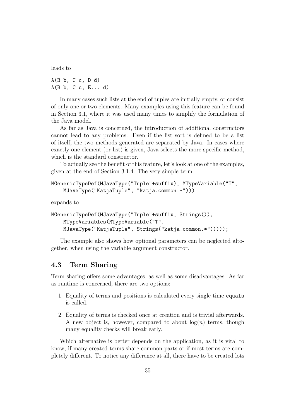leads to

 $A(B b, C c, D d)$  $A(B b, C c, E... d)$ 

In many cases such lists at the end of tuples are initially empty, or consist of only one or two elements. Many examples using this feature can be found in Section 3.1, where it was used many times to simplify the formulation of the Java model.

As far as Java is concerned, the introduction of additional constructors cannot lead to any problems. Even if the list sort is defined to be a list of itself, the two methods generated are separated by Java. In cases where exactly one element (or list) is given, Java selects the more specific method, which is the standard constructor.

To actually see the benefit of this feature, let's look at one of the examples, given at the end of Section 3.1.4. The very simple term

```
MGenericTypeDef(MJavaType("Tuple"+suffix), MTypeVariable("T",
    MJavaType("KatjaTuple", "katja.common.*")))
```
expands to

```
MGenericTypeDef(MJavaType("Tuple"+suffix, Strings()),
    MTypeVariables(MTypeVariable("T",
    MJavaType("KatjaTuple", Strings("katja.common.*")))));
```
The example also shows how optional parameters can be neglected altogether, when using the variable argument constructor.

# 4.3 Term Sharing

Term sharing offers some advantages, as well as some disadvantages. As far as runtime is concerned, there are two options:

- 1. Equality of terms and positions is calculated every single time equals is called.
- 2. Equality of terms is checked once at creation and is trivial afterwards. A new object is, however, compared to about  $log(n)$  terms, though many equality checks will break early.

Which alternative is better depends on the application, as it is vital to know, if many created terms share common parts or if most terms are completely different. To notice any difference at all, there have to be created lots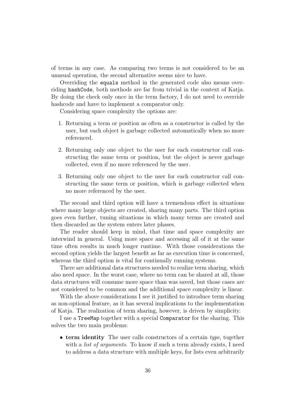of terms in any case. As comparing two terms is not considered to be an unusual operation, the second alternative seems nice to have.

Overriding the equals method in the generated code also means overriding hashCode, both methods are far from trivial in the context of Katja. By doing the check only once in the term factory, I do not need to override hashcode and have to implement a comparator only.

Considering space complexity the options are:

- 1. Returning a term or position as often as a constructor is called by the user, but each object is garbage collected automatically when no more referenced.
- 2. Returning only one object to the user for each constructor call constructing the same term or position, but the object is never garbage collected, even if no more referenced by the user.
- 3. Returning only one object to the user for each constructor call constructing the same term or position, which is garbage collected when no more referenced by the user.

The second and third option will have a tremendous effect in situations where many large objects are created, sharing many parts. The third option goes even further, tuning situations in which many terms are created and then discarded as the system enters later phases.

The reader should keep in mind, that time and space complexity are interwind in general. Using more space and accessing all of it at the same time often results in much longer runtime. With those considerations the second option yields the largest benefit as far as execution time is concerned, whereas the third option is vital for continually running systems.

There are additional data structures needed to realize term sharing, which also need space. In the worst case, where no term can be shared at all, those data structures will consume more space than was saved, but those cases are not considered to be common and the additional space complexity is linear.

With the above considerations I see it justified to introduce term sharing as non-optional feature, as it has several implications to the implementation of Katja. The realization of term sharing, however, is driven by simplicity.

I use a TreeMap together with a special Comparator for the sharing. This solves the two main problems:

• term identity The user calls constructors of a certain type, together with a *list of arguments*. To know if such a term already exists, I need to address a data structure with multiple keys, for lists even arbitrarily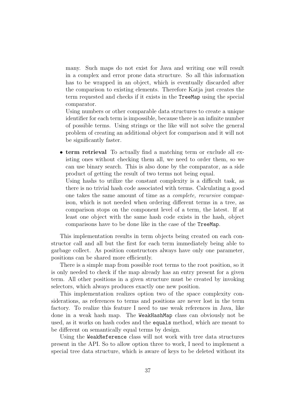many. Such maps do not exist for Java and writing one will result in a complex and error prone data structure. So all this information has to be wrapped in an object, which is eventually discarded after the comparison to existing elements. Therefore Katja just creates the term requested and checks if it exists in the TreeMap using the special comparator.

Using numbers or other comparable data structures to create a unique identifier for each term is impossible, because there is an infinite number of possible terms. Using strings or the like will not solve the general problem of creating an additional object for comparison and it will not be significantly faster.

• term retrieval To actually find a matching term or exclude all existing ones without checking them all, we need to order them, so we can use binary search. This is also done by the comparator, as a side product of getting the result of two terms not being equal.

Using hashs to utilize the constant complexity is a difficult task, as there is no trivial hash code associated with terms. Calculating a good one takes the same amount of time as a complete, recursive comparison, which is not needed when ordering different terms in a tree, as comparison stops on the component level of a term, the latest. If at least one object with the same hash code exists in the hash, object comparisons have to be done like in the case of the TreeMap.

This implementation results in term objects being created on each constructor call and all but the first for each term immediately being able to garbage collect. As position constructors always have only one parameter, positions can be shared more efficiently.

There is a simple map from possible root terms to the root position, so it is only needed to check if the map already has an entry present for a given term. All other positions in a given structure must be created by invoking selectors, which always produces exactly one new position.

This implementation realizes option two of the space complexity considerations, as references to terms and positions are never lost in the term factory. To realize this feature I need to use weak references in Java, like done in a weak hash map. The WeakHashMap class can obviously not be used, as it works on hash codes and the equals method, which are meant to be different on semantically equal terms by design.

Using the WeakReference class will not work with tree data structures present in the API. So to allow option three to work, I need to implement a special tree data structure, which is aware of keys to be deleted without its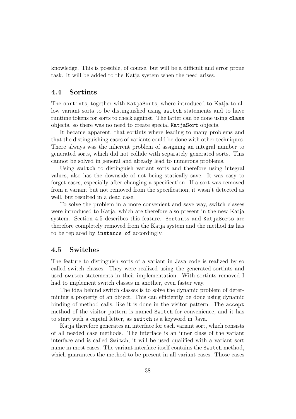knowledge. This is possible, of course, but will be a difficult and error prone task. It will be added to the Katja system when the need arises.

#### 4.4 Sortints

The sortints, together with KatjaSorts, where introduced to Katja to allow variant sorts to be distinguished using switch statements and to have runtime tokens for sorts to check against. The latter can be done using class objects, so there was no need to create special KatjaSort objects.

It became apparent, that sortints where leading to many problems and that the distinguishing cases of variants could be done with other techniques. There always was the inherent problem of assigning an integral number to generated sorts, which did not collide with separately generated sorts. This cannot be solved in general and already lead to numerous problems.

Using switch to distinguish variant sorts and therefore using integral values, also has the downside of not being statically save. It was easy to forget cases, especially after changing a specification. If a sort was removed from a variant but not removed from the specification, it wasn't detected as well, but resulted in a dead case.

To solve the problem in a more convenient and save way, switch classes were introduced to Katja, which are therefore also present in the new Katja system. Section 4.5 describes this feature. Sortints and KatjaSorts are therefore completely removed from the Katja system and the method is has to be replaced by instance of accordingly.

#### 4.5 Switches

The feature to distinguish sorts of a variant in Java code is realized by so called switch classes. They were realized using the generated sortints and used switch statements in their implementation. With sortints removed I had to implement switch classes in another, even faster way.

The idea behind switch classes is to solve the dynamic problem of determining a property of an object. This can efficiently be done using dynamic binding of method calls, like it is done in the visitor pattern. The accept method of the visitor pattern is named Switch for convenience, and it has to start with a capital letter, as switch is a keyword in Java.

Katja therefore generates an interface for each variant sort, which consists of all needed case methods. The interface is an inner class of the variant interface and is called Switch, it will be used qualified with a variant sort name in most cases. The variant interface itself contains the Switch method, which guarantees the method to be present in all variant cases. Those cases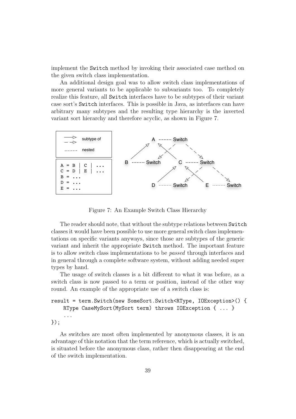implement the Switch method by invoking their associated case method on the given switch class implementation.

An additional design goal was to allow switch class implementations of more general variants to be applicable to subvariants too. To completely realize this feature, all Switch interfaces have to be subtypes of their variant case sort's Switch interfaces. This is possible in Java, as interfaces can have arbitrary many subtypes and the resulting type hierarchy is the inverted variant sort hierarchy and therefore acyclic, as shown in Figure 7.



Figure 7: An Example Switch Class Hierarchy

The reader should note, that without the subtype relations between Switch classes it would have been possible to use more general switch class implementations on specific variants anyways, since those are subtypes of the generic variant and inherit the appropriate Switch method. The important feature is to allow switch class implementations to be passed through interfaces and in general through a complete software system, without adding needed super types by hand.

The usage of switch classes is a bit different to what it was before, as a switch class is now passed to a term or position, instead of the other way round. An example of the appropriate use of a switch class is:

```
result = term.Switch(new SomeSort.Switch<RType, IOException>() {
    RType CaseMySort(MySort term) throws IOException { ... }
    ...
```
});

As switches are most often implemented by anonymous classes, it is an advantage of this notation that the term reference, which is actually switched, is situated before the anonymous class, rather then disappearing at the end of the switch implementation.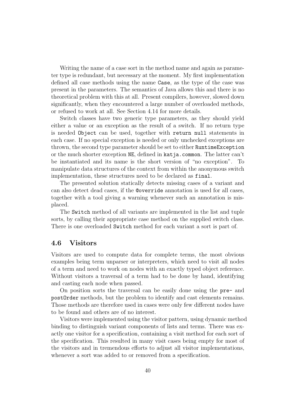Writing the name of a case sort in the method name and again as parameter type is redundant, but necessary at the moment. My first implementation defined all case methods using the name Case, as the type of the case was present in the parameters. The semantics of Java allows this and there is no theoretical problem with this at all. Present compilers, however, slowed down significantly, when they encountered a large number of overloaded methods, or refused to work at all. See Section 4.14 for more details.

Switch classes have two generic type parameters, as they should yield either a value or an exception as the result of a switch. If no return type is needed Object can be used, together with return null statements in each case. If no special exception is needed or only unchecked exceptions are thrown, the second type parameter should be set to either RuntimeException or the much shorter exception NE, defined in katja.common. The latter can't be instantiated and its name is the short version of "no exception". To manipulate data structures of the context from within the anonymous switch implementation, these structures need to be declared as final.

The presented solution statically detects missing cases of a variant and can also detect dead cases, if the @override annotation is used for all cases, together with a tool giving a warning whenever such an annotation is misplaced.

The Switch method of all variants are implemented in the list and tuple sorts, by calling their appropriate case method on the supplied switch class. There is one overloaded Switch method for each variant a sort is part of.

#### 4.6 Visitors

Visitors are used to compute data for complete terms, the most obvious examples being term unparser or interpreters, which need to visit all nodes of a term and need to work on nodes with an exactly typed object reference. Without visitors a traversal of a term had to be done by hand, identifying and casting each node when passed.

On position sorts the traversal can be easily done using the pre- and postOrder methods, but the problem to identify and cast elements remains. Those methods are therefore used in cases were only few different nodes have to be found and others are of no interest.

Visitors were implemented using the visitor pattern, using dynamic method binding to distinguish variant components of lists and terms. There was exactly one visitor for a specification, containing a visit method for each sort of the specification. This resulted in many visit cases being empty for most of the visitors and in tremendous efforts to adjust all visitor implementations, whenever a sort was added to or removed from a specification.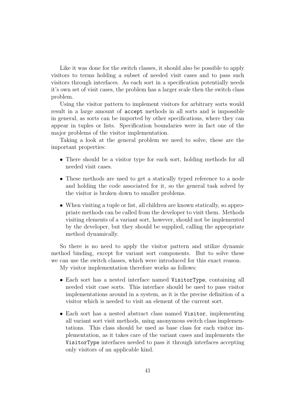Like it was done for the switch classes, it should also be possible to apply visitors to terms holding a subset of needed visit cases and to pass such visitors through interfaces. As each sort in a specification potentially needs it's own set of visit cases, the problem has a larger scale then the switch class problem.

Using the visitor pattern to implement visitors for arbitrary sorts would result in a large amount of accept methods in all sorts and is impossible in general, as sorts can be imported by other specifications, where they can appear in tuples or lists. Specification boundaries were in fact one of the major problems of the visitor implementation.

Taking a look at the general problem we need to solve, these are the important properties:

- There should be a visitor type for each sort, holding methods for all needed visit cases.
- These methods are used to get a statically typed reference to a node and holding the code associated for it, so the general task solved by the visitor is broken down to smaller problems.
- When visiting a tuple or list, all children are known statically, so appropriate methods can be called from the developer to visit them. Methods visiting elements of a variant sort, however, should not be implemented by the developer, but they should be supplied, calling the appropriate method dynamically.

So there is no need to apply the visitor pattern and utilize dynamic method binding, except for variant sort components. But to solve these we can use the switch classes, which were introduced for this exact reason. My visitor implementation therefore works as follows:

- Each sort has a nested interface named VisitorType, containing all needed visit case sorts. This interface should be used to pass visitor implementations around in a system, as it is the precise definition of a visitor which is needed to visit an element of the current sort.
- Each sort has a nested abstract class named Visitor, implementing all variant sort visit methods, using anonymous switch class implementations. This class should be used as base class for each visitor implementation, as it takes care of the variant cases and implements the VisitorType interfaces needed to pass it through interfaces accepting only visitors of an applicable kind.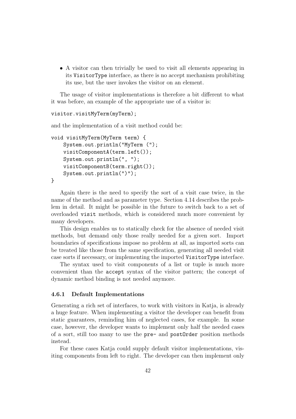• A visitor can then trivially be used to visit all elements appearing in its VisitorType interface, as there is no accept mechanism prohibiting its use, but the user invokes the visitor on an element.

The usage of visitor implementations is therefore a bit different to what it was before, an example of the appropriate use of a visitor is:

```
visitor.visitMyTerm(myTerm);
```
and the implementation of a visit method could be:

```
void visitMyTerm(MyTerm term) {
    System.out.println("MyTerm (");
    visitComponentA(term.left());
    System.out.println(", ");
    visitComponentB(term.right());
    System.out.println(")");
}
```
Again there is the need to specify the sort of a visit case twice, in the name of the method and as parameter type. Section 4.14 describes the problem in detail. It might be possible in the future to switch back to a set of overloaded visit methods, which is considered much more convenient by many developers.

This design enables us to statically check for the absence of needed visit methods, but demand only those really needed for a given sort. Import boundaries of specifications impose no problem at all, as imported sorts can be treated like those from the same specification, generating all needed visit case sorts if necessary, or implementing the imported VisitorType interface.

The syntax used to visit components of a list or tuple is much more convenient than the accept syntax of the visitor pattern; the concept of dynamic method binding is not needed anymore.

#### 4.6.1 Default Implementations

Generating a rich set of interfaces, to work with visitors in Katja, is already a huge feature. When implementing a visitor the developer can benefit from static guarantees, reminding him of neglected cases, for example. In some case, however, the developer wants to implement only half the needed cases of a sort, still too many to use the pre- and postOrder position methods instead.

For these cases Katja could supply default visitor implementations, visiting components from left to right. The developer can then implement only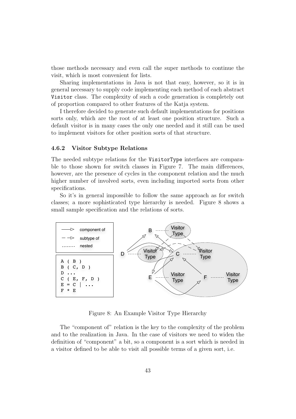those methods necessary and even call the super methods to continue the visit, which is most convenient for lists.

Sharing implementations in Java is not that easy, however, so it is in general necessary to supply code implementing each method of each abstract Visitor class. The complexity of such a code generation is completely out of proportion compared to other features of the Katja system.

I therefore decided to generate such default implementations for positions sorts only, which are the root of at least one position structure. Such a default visitor is in many cases the only one needed and it still can be used to implement visitors for other position sorts of that structure.

#### 4.6.2 Visitor Subtype Relations

The needed subtype relations for the VisitorType interfaces are comparable to those shown for switch classes in Figure 7. The main differences, however, are the presence of cycles in the component relation and the much higher number of involved sorts, even including imported sorts from other specifications.

So it's in general impossible to follow the same approach as for switch classes; a more sophisticated type hierarchy is needed. Figure 8 shows a small sample specification and the relations of sorts.



Figure 8: An Example Visitor Type Hierarchy

The "component of" relation is the key to the complexity of the problem and to the realization in Java. In the case of visitors we need to widen the definition of "component" a bit, so a component is a sort which is needed in a visitor defined to be able to visit all possible terms of a given sort, i.e.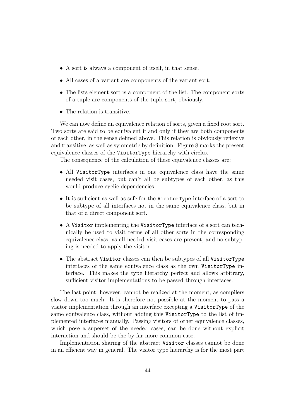- A sort is always a component of itself, in that sense.
- All cases of a variant are components of the variant sort.
- The lists element sort is a component of the list. The component sorts of a tuple are components of the tuple sort, obviously.
- The relation is transitive.

We can now define an equivalence relation of sorts, given a fixed root sort. Two sorts are said to be equivalent if and only if they are both components of each other, in the sense defined above. This relation is obviously reflexive and transitive, as well as symmetric by definition. Figure 8 marks the present equivalence classes of the VisitorType hierarchy with circles.

The consequence of the calculation of these equivalence classes are:

- All VisitorType interfaces in one equivalence class have the same needed visit cases, but can't all be subtypes of each other, as this would produce cyclic dependencies.
- It is sufficient as well as safe for the VisitorType interface of a sort to be subtype of all interfaces not in the same equivalence class, but in that of a direct component sort.
- A Visitor implementing the VisitorType interface of a sort can technically be used to visit terms of all other sorts in the corresponding equivalence class, as all needed visit cases are present, and no subtyping is needed to apply the visitor.
- The abstract Visitor classes can then be subtypes of all VisitorType interfaces of the same equivalence class as the own VisitorType interface. This makes the type hierarchy perfect and allows arbitrary, sufficient visitor implementations to be passed through interfaces.

The last point, however, cannot be realized at the moment, as compilers slow down too much. It is therefore not possible at the moment to pass a visitor implementation through an interface excepting a VisitorType of the same equivalence class, without adding this VisitorType to the list of implemented interfaces manually. Passing visitors of other equivalence classes, which pose a superset of the needed cases, can be done without explicit interaction and should be the by far more common case.

Implementation sharing of the abstract Visitor classes cannot be done in an efficient way in general. The visitor type hierarchy is for the most part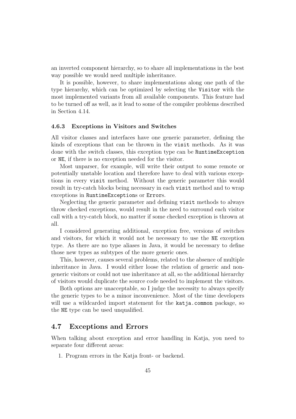an inverted component hierarchy, so to share all implementations in the best way possible we would need multiple inheritance.

It is possible, however, to share implementations along one path of the type hierarchy, which can be optimized by selecting the Visitor with the most implemented variants from all available components. This feature had to be turned off as well, as it lead to some of the compiler problems described in Section 4.14.

#### 4.6.3 Exceptions in Visitors and Switches

All visitor classes and interfaces have one generic parameter, defining the kinds of exceptions that can be thrown in the visit methods. As it was done with the switch classes, this exception type can be RuntimeException or NE, if there is no exception needed for the visitor.

Most unparser, for example, will write their output to some remote or potentially unstable location and therefore have to deal with various exceptions in every visit method. Without the generic parameter this would result in try-catch blocks being necessary in each visit method and to wrap exceptions in RuntimeExceptions or Errors.

Neglecting the generic parameter and defining visit methods to always throw checked exceptions, would result in the need to surround each visitor call with a try-catch block, no matter if some checked exception is thrown at all.

I considered generating additional, exception free, versions of switches and visitors, for which it would not be necessary to use the NE exception type. As there are no type aliases in Java, it would be necessary to define those new types as subtypes of the more generic ones.

This, however, causes several problems, related to the absence of multiple inheritance in Java. I would either loose the relation of generic and nongeneric visitors or could not use inheritance at all, so the additional hierarchy of visitors would duplicate the source code needed to implement the visitors.

Both options are unacceptable, so I judge the necessity to always specify the generic types to be a minor inconvenience. Most of the time developers will use a wildcarded import statement for the katja.common package, so the NE type can be used unqualified.

# 4.7 Exceptions and Errors

When talking about exception and error handling in Katja, you need to separate four different areas:

1. Program errors in the Katja front- or backend.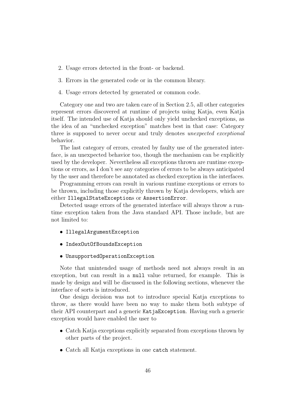- 2. Usage errors detected in the front- or backend.
- 3. Errors in the generated code or in the common library.
- 4. Usage errors detected by generated or common code.

Category one and two are taken care of in Section 2.5, all other categories represent errors discovered at runtime of projects using Katja, even Katja itself. The intended use of Katja should only yield unchecked exceptions, as the idea of an "unchecked exception" matches best in that case: Category three is supposed to never occur and truly denotes unexpected exceptional behavior.

The last category of errors, created by faulty use of the generated interface, is an unexpected behavior too, though the mechanism can be explicitly used by the developer. Nevertheless all exceptions thrown are runtime exceptions or errors, as I don't see any categories of errors to be always anticipated by the user and therefore be annotated as checked exception in the interfaces.

Programming errors can result in various runtime exceptions or errors to be thrown, including those explicitly thrown by Katja developers, which are either IllegalStateExceptions or AssertionError.

Detected usage errors of the generated interface will always throw a runtime exception taken from the Java standard API. Those include, but are not limited to:

- IllegalArgumentException
- IndexOutOfBoundsException
- UnsupportedOperationException

Note that unintended usage of methods need not always result in an exception, but can result in a null value returned, for example. This is made by design and will be discussed in the following sections, whenever the interface of sorts is introduced.

One design decision was not to introduce special Katja exceptions to throw, as there would have been no way to make them both subtype of their API counterpart and a generic KatjaException. Having such a generic exception would have enabled the user to

- Catch Katja exceptions explicitly separated from exceptions thrown by other parts of the project.
- Catch all Katja exceptions in one catch statement.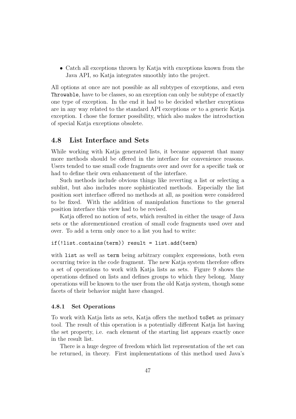• Catch all exceptions thrown by Katja with exceptions known from the Java API, so Katja integrates smoothly into the project.

All options at once are not possible as all subtypes of exceptions, and even Throwable, have to be classes, so an exception can only be subtype of exactly one type of exception. In the end it had to be decided whether exceptions are in any way related to the standard API exceptions or to a generic Katja exception. I chose the former possibility, which also makes the introduction of special Katja exceptions obsolete.

#### 4.8 List Interface and Sets

While working with Katja generated lists, it became apparent that many more methods should be offered in the interface for convenience reasons. Users tended to use small code fragments over and over for a specific task or had to define their own enhancement of the interface.

Such methods include obvious things like reverting a list or selecting a sublist, but also includes more sophisticated methods. Especially the list position sort interface offered no methods at all, as position were considered to be fixed. With the addition of manipulation functions to the general position interface this view had to be revised.

Katja offered no notion of sets, which resulted in either the usage of Java sets or the aforementioned creation of small code fragments used over and over. To add a term only once to a list you had to write:

```
if(!list.contains(term)) result = list.add(term)
```
with list as well as term being arbitrary complex expressions, both even occurring twice in the code fragment. The new Katja system therefore offers a set of operations to work with Katja lists as sets. Figure 9 shows the operations defined on lists and defines groups to which they belong. Many operations will be known to the user from the old Katja system, though some facets of their behavior might have changed.

#### 4.8.1 Set Operations

To work with Katja lists as sets, Katja offers the method toSet as primary tool. The result of this operation is a potentially different Katja list having the set property, i.e. each element of the starting list appears exactly once in the result list.

There is a huge degree of freedom which list representation of the set can be returned, in theory. First implementations of this method used Java's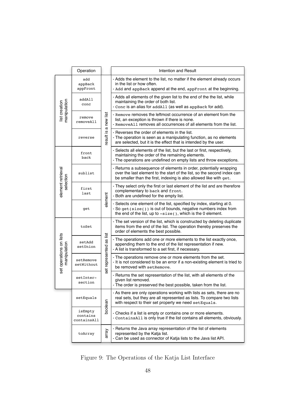|                                | Operation                          |                         | Intention and Result                                                                                                                                                                                                |  |  |  |
|--------------------------------|------------------------------------|-------------------------|---------------------------------------------------------------------------------------------------------------------------------------------------------------------------------------------------------------------|--|--|--|
|                                | add<br>appBack<br>appFront         |                         | - Adds the element to the list, no matter if the element already occurs<br>in the list or how often.<br>- Add and appBack append at the end, appFront at the beginning.                                             |  |  |  |
|                                | addAll<br>conc                     |                         | - Adds all elements of the given list to the end of the the list, while<br>maintaining the order of both list.<br>- Conc is an alias for addA11 (as well as appBack for add).                                       |  |  |  |
| manipulation<br>list creation  | remove<br>removeAll                | result is a new list    | - Remove removes the leftmost occurrence of an element from the<br>list, an exception is thrown if there is none.<br>- RemoveA11 removes all occurrences of all elements from the list.                             |  |  |  |
|                                | reverse                            |                         | - Reverses the order of elements in the list.<br>- The operation is seen as a manipulating function, as no elements<br>are selected, but it is the effect that is intended by the user.                             |  |  |  |
|                                | front<br>back                      |                         | - Selects all elements of the list, but the last or first, respectively,<br>maintaining the order of the remaining elements.<br>- The operations are undefined on empty lists and throw exceptions.                 |  |  |  |
|                                | sublist                            |                         | - Returns a subsequence of elements in order, potentially wrapping<br>over the last element to the start of the list, so the second index can<br>be smaller than the first, indexing is also allowed like with get. |  |  |  |
| element retrieval<br>selection | first<br>last                      | alement                 | - They select only the first or last element of the list and are therefore<br>complementary to back and front.<br>- Both are undefined for the empty list.                                                          |  |  |  |
|                                | get                                |                         | - Selects one element of the list, specified by index, starting at 0.<br>- So get (size()) is out of bounds, negative numbers index from<br>the end of the list, up to -size(), which is the 0 element.             |  |  |  |
|                                | toSet                              |                         | - The set version of the list, which is constructed by deleting duplicate<br>items from the end of the list. The operation thereby preserves the<br>order of elements the best possible.                            |  |  |  |
| set operations on lists        | setAdd<br>setUnion                 | set represented as list | - The operations add one or more elements to the list exactly once,<br>appending them to the end of the list representation if new.<br>- A list is transformed to a set first, if necessary.                        |  |  |  |
| manipulation                   | setRemove<br>setWithout            |                         | - The operations remove one or more elements from the set.<br>- It is not considered to be an error if a non-existing element is tried to<br>be removed with set Remove.                                            |  |  |  |
|                                | setInter-<br>section               |                         | - Returns the set representation of the list, with all elements of the<br>given list removed.<br>- The order is preserved the best possible, taken from the list.                                                   |  |  |  |
|                                | setEquals                          |                         | - As there are only operations working with lists as sets, there are no<br>real sets, but they are all represented as lists. To compare two lists<br>with respect to their set property we need setEquals.          |  |  |  |
|                                | isEmpty<br>contains<br>containsAll | boolean                 | - Checks if a list is empty or contains one or more elements.<br>- ContainsAll is only true if the list contains all elements, obviously.                                                                           |  |  |  |
|                                | toArray                            | array                   | - Returns the Java array representation of the list of elements<br>represented by the Katja list.<br>- Can be used as connector of Katja lists to the Java list API.                                                |  |  |  |

Figure 9: The Operations of the Katja List Interface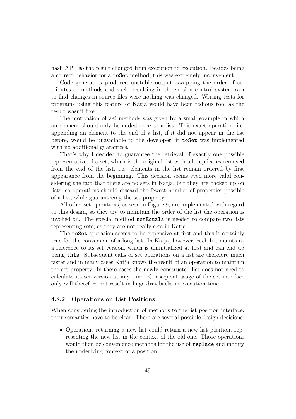hash API, so the result changed from execution to execution. Besides being a correct behavior for a toSet method, this was extremely inconvenient.

Code generators produced unstable output, swapping the order of attributes or methods and such, resulting in the version control system svn to find changes in source files were nothing was changed. Writing tests for programs using this feature of Katja would have been tedious too, as the result wasn't fixed.

The motivation of set methods was given by a small example in which an element should only be added once to a list. This exact operation, i.e. appending an element to the end of a list, if it did not appear in the list before, would be unavailable to the developer, if toSet was implemented with no additional guarantees.

That's why I decided to guarantee the retrieval of exactly one possible representative of a set, which is the original list with all duplicates removed from the end of the list, i.e. elements in the list remain ordered by first appearance from the beginning. This decision seems even more valid considering the fact that there are no sets in Katja, but they are backed up on lists, so operations should discard the fewest number of properties possible of a list, while guaranteeing the set property.

All other set operations, as seen in Figure 9, are implemented with regard to this design, so they try to maintain the order of the list the operation is invoked on. The special method setEquals is needed to compare two lists representing sets, as they are not really sets in Katja.

The toSet operation seems to be expensive at first and this is certainly true for the conversion of a long list. In Katja, however, each list maintains a reference to its set version, which is uninitialized at first and can end up being this. Subsequent calls of set operations on a list are therefore much faster and in many cases Katja knows the result of an operation to maintain the set property. In these cases the newly constructed list does not need to calculate its set version at any time. Consequent usage of the set interface only will therefore not result in huge drawbacks in execution time.

#### 4.8.2 Operations on List Positions

When considering the introduction of methods to the list position interface, their semantics have to be clear. There are several possible design decisions:

• Operations returning a new list could return a new list position, representing the new list in the context of the old one. Those operations would then be convenience methods for the use of replace and modify the underlying context of a position.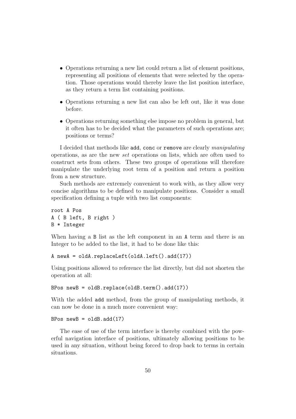- Operations returning a new list could return a list of element positions, representing all positions of elements that were selected by the operation. Those operations would thereby leave the list position interface, as they return a term list containing positions.
- Operations returning a new list can also be left out, like it was done before.
- Operations returning something else impose no problem in general, but it often has to be decided what the parameters of such operations are; positions or terms?

I decided that methods like add, conc or remove are clearly manipulating operations, as are the new set operations on lists, which are often used to construct sets from others. These two groups of operations will therefore manipulate the underlying root term of a position and return a position from a new structure.

Such methods are extremely convenient to work with, as they allow very concise algorithms to be defined to manipulate positions. Consider a small specification defining a tuple with two list components:

```
root A Pos
A ( B left, B right )
B * Integer
```
When having a B list as the left component in an A term and there is an Integer to be added to the list, it had to be done like this:

```
A newA = oldA.replaceLeft(oldA.left().add(17))
```
Using positions allowed to reference the list directly, but did not shorten the operation at all:

```
BPos newB = oldB.replace(oldB.term().add(17))
```
With the added add method, from the group of manipulating methods, it can now be done in a much more convenient way:

```
BPos newB = oldB.add(17)
```
The ease of use of the term interface is thereby combined with the powerful navigation interface of positions, ultimately allowing positions to be used in any situation, without being forced to drop back to terms in certain situations.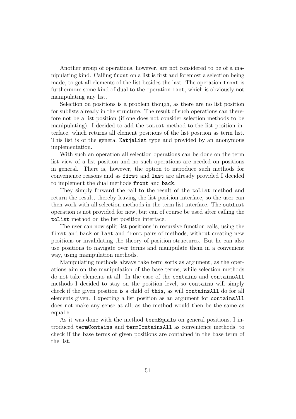Another group of operations, however, are not considered to be of a manipulating kind. Calling front on a list is first and foremost a selection being made, to get all elements of the list besides the last. The operation front is furthermore some kind of dual to the operation last, which is obviously not manipulating any list.

Selection on positions is a problem though, as there are no list position for sublists already in the structure. The result of such operations can therefore not be a list position (if one does not consider selection methods to be manipulating). I decided to add the toList method to the list position interface, which returns all element positions of the list position as term list. This list is of the general KatjaList type and provided by an anonymous implementation.

With such an operation all selection operations can be done on the term list view of a list position and no such operations are needed on positions in general. There is, however, the option to introduce such methods for convenience reasons and as first and last are already provided I decided to implement the dual methods front and back.

They simply forward the call to the result of the toList method and return the result, thereby leaving the list position interface, so the user can then work with all selection methods in the term list interface. The sublist operation is not provided for now, but can of course be used after calling the toList method on the list position interface.

The user can now split list positions in recursive function calls, using the first and back or last and front pairs of methods, without creating new positions or invalidating the theory of position structures. But he can also use positions to navigate over terms and manipulate them in a convenient way, using manipulation methods.

Manipulating methods always take term sorts as argument, as the operations aim on the manipulation of the base terms, while selection methods do not take elements at all. In the case of the contains and containsAll methods I decided to stay on the position level, so contains will simply check if the given position is a child of this, as will containsAll do for all elements given. Expecting a list position as an argument for containsAll does not make any sense at all, as the method would then be the same as equals.

As it was done with the method termEquals on general positions, I introduced termContains and termContainsAll as convenience methods, to check if the base terms of given positions are contained in the base term of the list.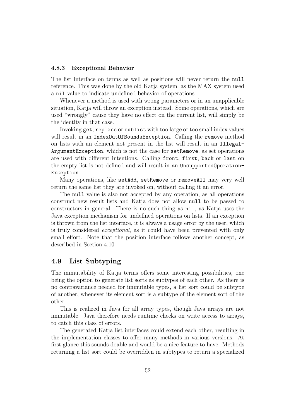#### 4.8.3 Exceptional Behavior

The list interface on terms as well as positions will never return the null reference. This was done by the old Katja system, as the MAX system used a nil value to indicate undefined behavior of operations.

Whenever a method is used with wrong parameters or in an unapplicable situation, Katja will throw an exception instead. Some operations, which are used "wrongly" cause they have no effect on the current list, will simply be the identity in that case.

Invoking get, replace or sublist with too large or too small index values will result in an IndexOutOfBoundsException. Calling the remove method on lists with an element not present in the list will result in an Illegal-ArgumentException, which is not the case for setRemove, as set operations are used with different intentions. Calling front, first, back or last on the empty list is not defined and will result in an UnsupportedOperation-Exception.

Many operations, like setAdd, setRemove or removeAll may very well return the same list they are invoked on, without calling it an error.

The null value is also not accepted by any operation, as all operations construct new result lists and Katja does not allow null to be passed to constructors in general. There is no such thing as nil, as Katja uses the Java exception mechanism for undefined operations on lists. If an exception is thrown from the list interface, it is always a usage error by the user, which is truly considered exceptional, as it could have been prevented with only small effort. Note that the position interface follows another concept, as described in Section 4.10

# 4.9 List Subtyping

The immutability of Katja terms offers some interesting possibilities, one being the option to generate list sorts as subtypes of each other. As there is no contravariance needed for immutable types, a list sort could be subtype of another, whenever its element sort is a subtype of the element sort of the other.

This is realized in Java for all array types, though Java arrays are not immutable. Java therefore needs runtime checks on write access to arrays, to catch this class of errors.

The generated Katja list interfaces could extend each other, resulting in the implementation classes to offer many methods in various versions. At first glance this sounds doable and would be a nice feature to have. Methods returning a list sort could be overridden in subtypes to return a specialized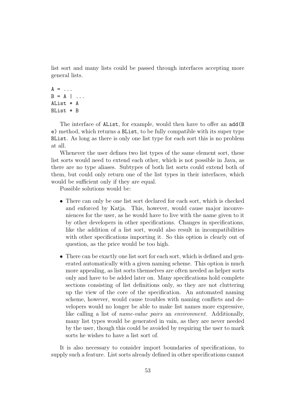list sort and many lists could be passed through interfaces accepting more general lists.

```
A = \ldotsB = A \mid \ldotsAList * A
BList * B
```
The interface of AList, for example, would then have to offer an add(B e) method, which returns a BList, to be fully compatible with its super type BList. As long as there is only one list type for each sort this is no problem at all.

Whenever the user defines two list types of the same element sort, these list sorts would need to extend each other, which is not possible in Java, as there are no type aliases. Subtypes of both list sorts could extend both of them, but could only return one of the list types in their interfaces, which would be sufficient only if they are equal.

Possible solutions would be:

- There can only be one list sort declared for each sort, which is checked and enforced by Katja. This, however, would cause major inconveniences for the user, as he would have to live with the name given to it by other developers in other specifications. Changes in specifications, like the addition of a list sort, would also result in incompatibilities with other specifications importing it. So this option is clearly out of question, as the price would be too high.
- There can be exactly one list sort for each sort, which is defined and generated automatically with a given naming scheme. This option is much more appealing, as list sorts themselves are often needed as helper sorts only and have to be added later on. Many specifications hold complete sections consisting of list definitions only, so they are not cluttering up the view of the core of the specification. An automated naming scheme, however, would cause troubles with naming conflicts and developers would no longer be able to make list names more expressive, like calling a list of name-value pairs an environment. Additionally, many list types would be generated in vain, as they are never needed by the user, though this could be avoided by requiring the user to mark sorts he wishes to have a list sort of.

It is also necessary to consider import boundaries of specifications, to supply such a feature. List sorts already defined in other specifications cannot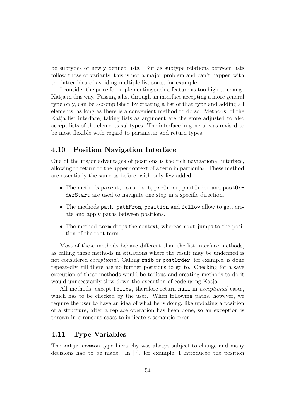be subtypes of newly defined lists. But as subtype relations between lists follow those of variants, this is not a major problem and can't happen with the latter idea of avoiding multiple list sorts, for example.

I consider the price for implementing such a feature as too high to change Katja in this way. Passing a list through an interface accepting a more general type only, can be accomplished by creating a list of that type and adding all elements, as long as there is a convenient method to do so. Methods, of the Katja list interface, taking lists as argument are therefore adjusted to also accept lists of the elements subtypes. The interface in general was revised to be most flexible with regard to parameter and return types.

### 4.10 Position Navigation Interface

One of the major advantages of positions is the rich navigational interface, allowing to return to the upper context of a term in particular. These method are essentially the same as before, with only few added:

- The methods parent, rsib, lsib, preOrder, postOrder and postOrderStart are used to navigate one step in a specific direction.
- The methods path, pathFrom, position and follow allow to get, create and apply paths between positions.
- The method term drops the context, whereas root jumps to the position of the root term.

Most of these methods behave different than the list interface methods, as calling these methods in situations where the result may be undefined is not considered *exceptional*. Calling rsib or postOrder, for example, is done repeatedly, till there are no further positions to go to. Checking for a save execution of those methods would be tedious and creating methods to do it would unnecessarily slow down the execution of code using Katja.

All methods, except follow, therefore return null in *exceptional* cases, which has to be checked by the user. When following paths, however, we require the user to have an idea of what he is doing, like updating a position of a structure, after a replace operation has been done, so an exception is thrown in erroneous cases to indicate a semantic error.

#### 4.11 Type Variables

The katja.common type hierarchy was always subject to change and many decisions had to be made. In [7], for example, I introduced the position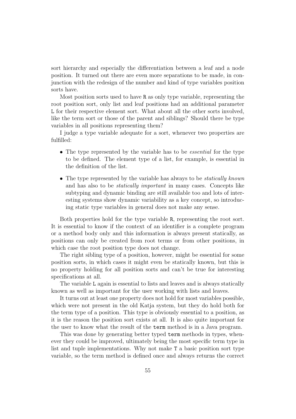sort hierarchy and especially the differentiation between a leaf and a node position. It turned out there are even more separations to be made, in conjunction with the redesign of the number and kind of type variables position sorts have.

Most position sorts used to have R as only type variable, representing the root position sort, only list and leaf positions had an additional parameter L for their respective element sort. What about all the other sorts involved, like the term sort or those of the parent and siblings? Should there be type variables in all positions representing them?

I judge a type variable adequate for a sort, whenever two properties are fulfilled:

- The type represented by the variable has to be *essential* for the type to be defined. The element type of a list, for example, is essential in the definition of the list.
- The type represented by the variable has always to be *statically known* and has also to be statically important in many cases. Concepts like subtyping and dynamic binding are still available too and lots of interesting systems show dynamic variability as a key concept, so introducing static type variables in general does not make any sense.

Both properties hold for the type variable R, representing the root sort. It is essential to know if the context of an identifier is a complete program or a method body only and this information is always present statically, as positions can only be created from root terms or from other positions, in which case the root position type does not change.

The right sibling type of a position, however, might be essential for some position sorts, in which cases it might even be statically known, but this is no property holding for all position sorts and can't be true for interesting specifications at all.

The variable L again is essential to lists and leaves and is always statically known as well as important for the user working with lists and leaves.

It turns out at least one property does not hold for most variables possible, which were not present in the old Katja system, but they do hold both for the term type of a position. This type is obviously essential to a position, as it is the reason the position sort exists at all. It is also quite important for the user to know what the result of the term method is in a Java program.

This was done by generating better typed term methods in types, whenever they could be improved, ultimately being the most specific term type in list and tuple implementations. Why not make T a basic position sort type variable, so the term method is defined once and always returns the correct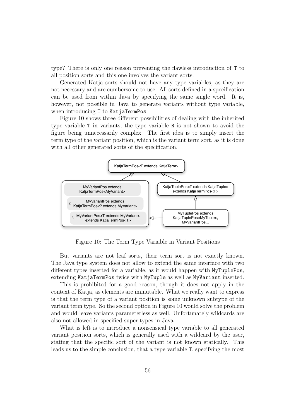type? There is only one reason preventing the flawless introduction of T to all position sorts and this one involves the variant sorts.

Generated Katja sorts should not have any type variables, as they are not necessary and are cumbersome to use. All sorts defined in a specification can be used from within Java by specifying the same single word. It is, however, not possible in Java to generate variants without type variable, when introducing T to KatjaTermPos.

Figure 10 shows three different possibilities of dealing with the inherited type variable T in variants, the type variable R is not shown to avoid the figure being unnecessarily complex. The first idea is to simply insert the term type of the variant position, which is the variant term sort, as it is done with all other generated sorts of the specification.



Figure 10: The Term Type Variable in Variant Positions

But variants are not leaf sorts, their term sort is not exactly known. The Java type system does not allow to extend the same interface with two different types inserted for a variable, as it would happen with MyTuplePos, extending KatjaTermPos twice with MyTuple as well as MyVariant inserted.

This is prohibited for a good reason, though it does not apply in the context of Katja, as elements are immutable. What we really want to express is that the term type of a variant position is some unknown subtype of the variant term type. So the second option in Figure 10 would solve the problem and would leave variants parameterless as well. Unfortunately wildcards are also not allowed in specified super types in Java.

What is left is to introduce a nonsensical type variable to all generated variant position sorts, which is generally used with a wildcard by the user, stating that the specific sort of the variant is not known statically. This leads us to the simple conclusion, that a type variable T, specifying the most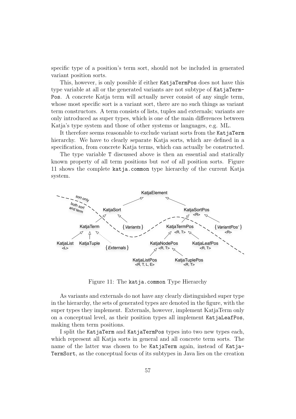specific type of a position's term sort, should not be included in generated variant position sorts.

This, however, is only possible if either KatjaTermPos does not have this type variable at all or the generated variants are not subtype of KatjaTerm-Pos. A concrete Katja term will actually never consist of any single term, whose most specific sort is a variant sort, there are no such things as variant term constructors. A term consists of lists, tuples and externals; variants are only introduced as super types, which is one of the main differences between Katja's type system and those of other systems or languages, e.g. ML.

It therefore seems reasonable to exclude variant sorts from the KatjaTerm hierarchy. We have to clearly separate Katja sorts, which are defined in a specification, from concrete Katja terms, which can actually be constructed.

The type variable T discussed above is then an essential and statically known property of all term positions but not of all position sorts. Figure 11 shows the complete katja.common type hierarchy of the current Katja system.



Figure 11: The katja.common Type Hierarchy

As variants and externals do not have any clearly distinguished super type in the hierarchy, the sets of generated types are denoted in the figure, with the super types they implement. Externals, however, implement KatjaTerm only on a conceptual level, as their position types all implement KatjaLeafPos, making them term positions.

I split the KatjaTerm and KatjaTermPos types into two new types each, which represent all Katja sorts in general and all concrete term sorts. The name of the latter was chosen to be KatjaTerm again, instead of Katja-TermSort, as the conceptual focus of its subtypes in Java lies on the creation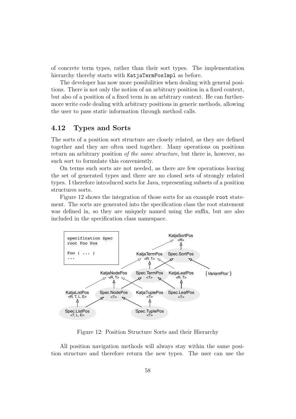of concrete term types, rather than their sort types. The implementation hierarchy thereby starts with KatjaTermPosImpl as before.

The developer has now more possibilities when dealing with general positions. There is not only the notion of an arbitrary position in a fixed context, but also of a position of a fixed term in an arbitrary context. He can furthermore write code dealing with arbitrary positions in generic methods, allowing the user to pass static information through method calls.

# 4.12 Types and Sorts

The sorts of a position sort structure are closely related, as they are defined together and they are often used together. Many operations on positions return an arbitrary position of the same structure, but there is, however, no such sort to formulate this conveniently.

On terms such sorts are not needed, as there are few operations leaving the set of generated types and there are no closed sets of strongly related types. I therefore introduced sorts for Java, representing subsets of a position structures sorts.

Figure 12 shows the integration of those sorts for an example root statement. The sorts are generated into the specification class the root statement was defined in, so they are uniquely named using the suffix, but are also included in the specification class namespace.



Figure 12: Position Structure Sorts and their Hierarchy

All position navigation methods will always stay within the same position structure and therefore return the new types. The user can use the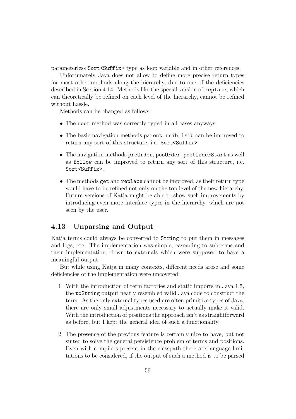parameterless Sort<Suffix> type as loop variable and in other references.

Unfortunately Java does not allow to define more precise return types for most other methods along the hierarchy, due to one of the deficiencies described in Section 4.14. Methods like the special version of replace, which can theoretically be refined on each level of the hierarchy, cannot be refined without hassle.

Methods can be changed as follows:

- The root method was correctly typed in all cases anyways.
- The basic navigation methods parent, rsib, lsib can be improved to return any sort of this structure, i.e. Sort<Suffix>.
- The navigation methods preOrder, posOrder, postOrderStart as well as follow can be improved to return any sort of this structure, i.e. Sort<Suffix>.
- The methods get and replace cannot be improved, as their return type would have to be refined not only on the top level of the new hierarchy. Future versions of Katja might be able to show such improvements by introducing even more interface types in the hierarchy, which are not seen by the user.

### 4.13 Unparsing and Output

Katja terms could always be converted to String to put them in messages and logs, etc. The implementation was simple, cascading to subterms and their implementation, down to externals which were supposed to have a meaningful output.

But while using Katja in many contexts, different needs arose and some deficiencies of the implementation were uncovered:

- 1. With the introduction of term factories and static imports in Java 1.5, the toString output nearly resembled valid Java code to construct the term. As the only external types used are often primitive types of Java, there are only small adjustments necessary to actually make it valid. With the introduction of positions the approach isn't as straightforward as before, but I kept the general idea of such a functionality.
- 2. The presence of the previous feature is certainly nice to have, but not suited to solve the general persistence problem of terms and positions. Even with compilers present in the classpath there are language limitations to be considered, if the output of such a method is to be parsed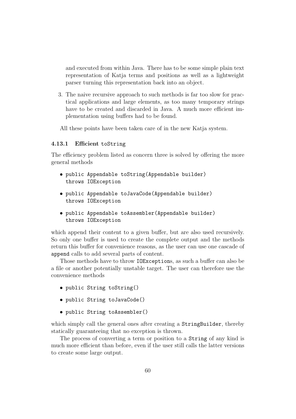and executed from within Java. There has to be some simple plain text representation of Katja terms and positions as well as a lightweight parser turning this representation back into an object.

3. The naive recursive approach to such methods is far too slow for practical applications and large elements, as too many temporary strings have to be created and discarded in Java. A much more efficient implementation using buffers had to be found.

All these points have been taken care of in the new Katja system.

#### 4.13.1 Efficient toString

The efficiency problem listed as concern three is solved by offering the more general methods

- public Appendable toString(Appendable builder) throws IOException
- public Appendable toJavaCode(Appendable builder) throws IOException
- public Appendable toAssembler(Appendable builder) throws IOException

which append their content to a given buffer, but are also used recursively. So only one buffer is used to create the complete output and the methods return this buffer for convenience reasons, as the user can use one cascade of append calls to add several parts of content.

Those methods have to throw IOExceptions, as such a buffer can also be a file or another potentially unstable target. The user can therefore use the convenience methods

- public String toString()
- public String toJavaCode()
- public String toAssembler()

which simply call the general ones after creating a StringBuilder, thereby statically guaranteeing that no exception is thrown.

The process of converting a term or position to a String of any kind is much more efficient than before, even if the user still calls the latter versions to create some large output.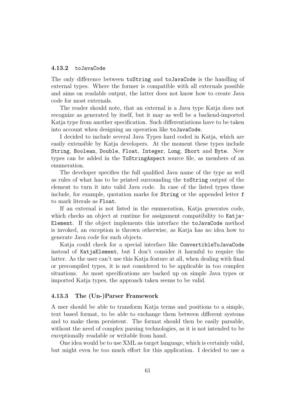#### 4.13.2 toJavaCode

The only difference between toString and toJavaCode is the handling of external types. Where the former is compatible with all externals possible and aims on readable output, the latter does not know how to create Java code for most externals.

The reader should note, that an external is a Java type Katja does not recognize as generated by itself, but it may as well be a backend-imported Katja type from another specification. Such differentiations have to be taken into account when designing an operation like toJavaCode.

I decided to include several Java Types hard coded in Katja, which are easily extensible by Katja developers. At the moment these types include String, Boolean, Double, Float, Integer, Long, Short and Byte. New types can be added in the ToStringAspect source file, as members of an enumeration.

The developer specifies the full qualified Java name of the type as well as rules of what has to be printed surrounding the toString output of the element to turn it into valid Java code. In case of the listed types these include, for example, quotation marks for String or the appended letter f to mark literals as Float.

If an external is not listed in the enumeration, Katja generates code, which checks an object at runtime for assignment compatibility to Katja-Element. If the object implements this interface the toJavaCode method is invoked, an exception is thrown otherwise, as Katja has no idea how to generate Java code for such objects.

Katja could check for a special interface like ConvertibleToJavaCode instead of KatjaElement, but I don't consider it harmful to require the latter. As the user can't use this Katja feature at all, when dealing with final or precompiled types, it is not considered to be applicable in too complex situations. As most specifications are backed up on simple Java types or imported Katja types, the approach taken seems to be valid.

#### 4.13.3 The (Un-)Parser Framework

A user should be able to transform Katja terms and positions to a simple, text based format, to be able to exchange them between different systems and to make them persistent. The format should then be easily parsable, without the need of complex parsing technologies, as it is not intended to be exceptionally readable or writable from hand.

One idea would be to use XML as target language, which is certainly valid, but might even be too much effort for this application. I decided to use a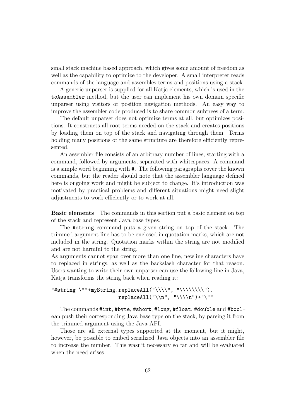small stack machine based approach, which gives some amount of freedom as well as the capability to optimize to the developer. A small interpreter reads commands of the language and assembles terms and positions using a stack.

A generic unparser is supplied for all Katja elements, which is used in the toAssembler method, but the user can implement his own domain specific unparser using visitors or position navigation methods. An easy way to improve the assembler code produced is to share common subtrees of a term.

The default unparser does not optimize terms at all, but optimizes positions. It constructs all root terms needed on the stack and creates positions by loading them on top of the stack and navigating through them. Terms holding many positions of the same structure are therefore efficiently represented.

An assembler file consists of an arbitrary number of lines, starting with a command, followed by arguments, separated with whitespaces. A command is a simple word beginning with #. The following paragraphs cover the known commands, but the reader should note that the assembler language defined here is ongoing work and might be subject to change. It's introduction was motivated by practical problems and different situations might need slight adjustments to work efficiently or to work at all.

Basic elements The commands in this section put a basic element on top of the stack and represent Java base types.

The #string command puts a given string on top of the stack. The trimmed argument line has to be enclosed in quotation marks, which are not included in the string. Quotation marks within the string are not modified and are not harmful to the string.

As arguments cannot span over more than one line, newline characters have to replaced in strings, as well as the backslash character for that reason. Users wanting to write their own unparser can use the following line in Java, Katja transforms the string back when reading it:

#### "#string \""+myString.replaceAll("\\\\", "\\\\\\\\").  $replaced11("\\n". "\\\\n");$

The commands #int, #byte, #short, #long, #float, #double and #boolean push their corresponding Java base type on the stack, by parsing it from the trimmed argument using the Java API.

Those are all external types supported at the moment, but it might, however, be possible to embed serialized Java objects into an assembler file to increase the number. This wasn't necessary so far and will be evaluated when the need arises.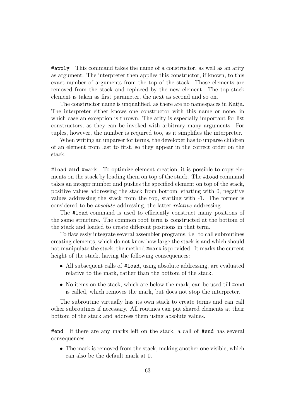#apply This command takes the name of a constructor, as well as an arity as argument. The interpreter then applies this constructor, if known, to this exact number of arguments from the top of the stack. Those elements are removed from the stack and replaced by the new element. The top stack element is taken as first parameter, the next as second and so on.

The constructor name is unqualified, as there are no namespaces in Katja. The interpreter either knows one constructor with this name or none, in which case an exception is thrown. The arity is especially important for list constructors, as they can be invoked with arbitrary many arguments. For tuples, however, the number is required too, as it simplifies the interpreter.

When writing an unparser for terms, the developer has to unparse children of an element from last to first, so they appear in the correct order on the stack.

#load and #mark To optimize element creation, it is possible to copy elements on the stack by loading them on top of the stack. The #load command takes an integer number and pushes the specified element on top of the stack, positive values addressing the stack from bottom, starting with 0, negative values addressing the stack from the top, starting with -1. The former is considered to be absolute addressing, the latter relative addressing.

The #load command is used to efficiently construct many positions of the same structure. The common root term is constructed at the bottom of the stack and loaded to create different positions in that term.

To flawlessly integrate several assembler programs, i.e. to call subroutines creating elements, which do not know how large the stack is and which should not manipulate the stack, the method #mark is provided. It marks the current height of the stack, having the following consequences:

- All subsequent calls of #load, using absolute addressing, are evaluated relative to the mark, rather than the bottom of the stack.
- No items on the stack, which are below the mark, can be used till #end is called, which removes the mark, but does not stop the interpreter.

The subroutine virtually has its own stack to create terms and can call other subroutines if necessary. All routines can put shared elements at their bottom of the stack and address them using absolute values.

#end If there are any marks left on the stack, a call of #end has several consequences:

• The mark is removed from the stack, making another one visible, which can also be the default mark at 0.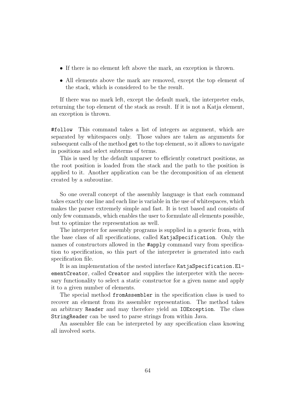- If there is no element left above the mark, an exception is thrown.
- All elements above the mark are removed, except the top element of the stack, which is considered to be the result.

If there was no mark left, except the default mark, the interpreter ends, returning the top element of the stack as result. If it is not a Katja element, an exception is thrown.

#follow This command takes a list of integers as argument, which are separated by whitespaces only. Those values are taken as arguments for subsequent calls of the method get to the top element, so it allows to navigate in positions and select subterms of terms.

This is used by the default unparser to efficiently construct positions, as the root position is loaded from the stack and the path to the position is applied to it. Another application can be the decomposition of an element created by a subroutine.

So one overall concept of the assembly language is that each command takes exactly one line and each line is variable in the use of whitespaces, which makes the parser extremely simple and fast. It is text based and consists of only few commands, which enables the user to formulate all elements possible, but to optimize the representation as well.

The interpreter for assembly programs is supplied in a generic from, with the base class of all specifications, called KatjaSpecification. Only the names of constructors allowed in the #apply command vary from specification to specification, so this part of the interpreter is generated into each specification file.

It is an implementation of the nested interface KatjaSpecification.ElementCreator, called Creator and supplies the interpreter with the necessary functionality to select a static constructor for a given name and apply it to a given number of elements.

The special method fromAssembler in the specification class is used to recover an element from its assembler representation. The method takes an arbitrary Reader and may therefore yield an IOException. The class StringReader can be used to parse strings from within Java.

An assembler file can be interpreted by any specification class knowing all involved sorts.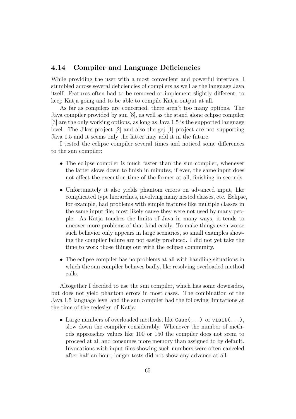## 4.14 Compiler and Language Deficiencies

While providing the user with a most convenient and powerful interface, I stumbled across several deficiencies of compilers as well as the language Java itself. Features often had to be removed or implement slightly different, to keep Katja going and to be able to compile Katja output at all.

As far as compilers are concerned, there aren't too many options. The Java compiler provided by sun [8], as well as the stand alone eclipse compiler [3] are the only working options, as long as Java 1.5 is the supported language level. The Jikes project [2] and also the gcj [1] project are not supporting Java 1.5 and it seems only the latter may add it in the future.

I tested the eclipse compiler several times and noticed some differences to the sun compiler:

- The eclipse compiler is much faster than the sun compiler, whenever the latter slows down to finish in minutes, if ever, the same input does not affect the execution time of the former at all, finishing in seconds.
- Unfortunately it also yields phantom errors on advanced input, like complicated type hierarchies, involving many nested classes, etc. Eclipse, for example, had problems with simple features like multiple classes in the same input file, most likely cause they were not used by many people. As Katja touches the limits of Java in many ways, it tends to uncover more problems of that kind easily. To make things even worse such behavior only appears in large scenarios, so small examples showing the compiler failure are not easily produced. I did not yet take the time to work those things out with the eclipse community.
- The eclipse compiler has no problems at all with handling situations in which the sun compiler behaves badly, like resolving overloaded method calls.

Altogether I decided to use the sun compiler, which has some downsides, but does not yield phantom errors in most cases. The combination of the Java 1.5 language level and the sun compiler had the following limitations at the time of the redesign of Katja:

• Large numbers of overloaded methods, like  $\text{Case}(\ldots)$  or  $\text{visit}(\ldots)$ , slow down the compiler considerably. Whenever the number of methods approaches values like 100 or 150 the compiler does not seem to proceed at all and consumes more memory than assigned to by default. Invocations with input files showing such numbers were often canceled after half an hour, longer tests did not show any advance at all.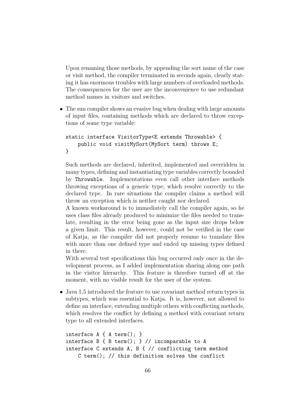Upon renaming those methods, by appending the sort name of the case or visit method, the compiler terminated in seconds again, clearly stating it has enormous troubles with large numbers of overloaded methods. The consequences for the user are the inconvenience to use redundant method names in visitors and switches.

• The sun compiler shows an evasive bug when dealing with large amounts of input files, containing methods which are declared to throw exceptions of some type variable:

```
static interface VisitorType<E extends Throwable> {
    public void visitMySort(MySort term) throws E;
}
```
Such methods are declared, inherited, implemented and overridden in many types, defining and instantiating type variables correctly bounded by Throwable. Implementations even call other interface methods throwing exceptions of a generic type, which resolve correctly to the declared type. In rare situations the compiler claims a method will throw an exception which is neither caught nor declared.

A known workaround is to immediately call the compiler again, so he uses class files already produced to minimize the files needed to translate, resulting in the error being gone as the input size drops below a given limit. This result, however, could not be verified in the case of Katja, as the compiler did not properly resume to translate files with more than one defined type and ended up missing types defined in there.

With several test specifications this bug occurred only once in the development process, as I added implementation sharing along one path in the visitor hierarchy. This feature is therefore turned off at the moment, with no visible result for the user of the system.

• Java 1.5 introduced the feature to use covariant method return types in subtypes, which was essential to Katja. It is, however, not allowed to define an interface, extending multiple others with conflicting methods, which resolves the conflict by defining a method with covariant return type to all extended interfaces.

```
interface A { A term(); }
interface B { B term(); } // incomparable to A
interface C extends A, B { // conflicting term method
   C term(); // this definition solves the conflict
```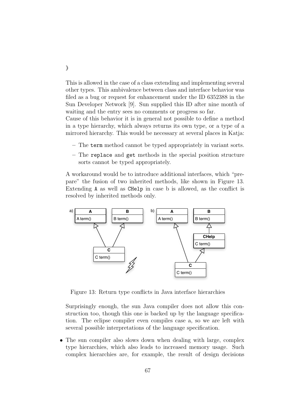This is allowed in the case of a class extending and implementing several other types. This ambivalence between class and interface behavior was filed as a bug or request for enhancement under the ID 6352388 in the Sun Developer Network [9]. Sun supplied this ID after nine month of waiting and the entry sees no comments or progress so far.

Cause of this behavior it is in general not possible to define a method in a type hierarchy, which always returns its own type, or a type of a mirrored hierarchy. This would be necessary at several places in Katja:

- The term method cannot be typed appropriately in variant sorts.
- The replace and get methods in the special position structure sorts cannot be typed appropriately.

A workaround would be to introduce additional interfaces, which "prepare" the fusion of two inherited methods, like shown in Figure 13. Extending A as well as CHelp in case b is allowed, as the conflict is resolved by inherited methods only.



Figure 13: Return type conflicts in Java interface hierarchies

Surprisingly enough, the sun Java compiler does not allow this construction too, though this one is backed up by the language specification. The eclipse compiler even compiles case a, so we are left with several possible interpretations of the language specification.

• The sun compiler also slows down when dealing with large, complex type hierarchies, which also leads to increased memory usage. Such complex hierarchies are, for example, the result of design decisions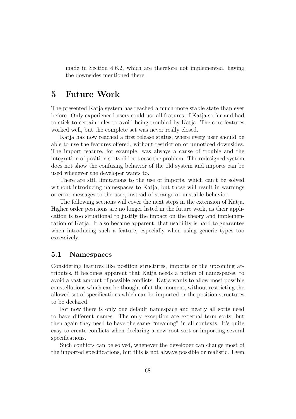made in Section 4.6.2, which are therefore not implemented, having the downsides mentioned there.

# 5 Future Work

The presented Katja system has reached a much more stable state than ever before. Only experienced users could use all features of Katja so far and had to stick to certain rules to avoid being troubled by Katja. The core features worked well, but the complete set was never really closed.

Katja has now reached a first release status, where every user should be able to use the features offered, without restriction or unnoticed downsides. The import feature, for example, was always a cause of trouble and the integration of position sorts did not ease the problem. The redesigned system does not show the confusing behavior of the old system and imports can be used whenever the developer wants to.

There are still limitations to the use of imports, which can't be solved without introducing namespaces to Katja, but those will result in warnings or error messages to the user, instead of strange or unstable behavior.

The following sections will cover the next steps in the extension of Katja. Higher order positions are no longer listed in the future work, as their application is too situational to justify the impact on the theory and implementation of Katja. It also became apparent, that usability is hard to guarantee when introducing such a feature, especially when using generic types too excessively.

# 5.1 Namespaces

Considering features like position structures, imports or the upcoming attributes, it becomes apparent that Katja needs a notion of namespaces, to avoid a vast amount of possible conflicts. Katja wants to allow most possible constellations which can be thought of at the moment, without restricting the allowed set of specifications which can be imported or the position structures to be declared.

For now there is only one default namespace and nearly all sorts need to have different names. The only exception are external term sorts, but then again they need to have the same "meaning" in all contexts. It's quite easy to create conflicts when declaring a new root sort or importing several specifications.

Such conflicts can be solved, whenever the developer can change most of the imported specifications, but this is not always possible or realistic. Even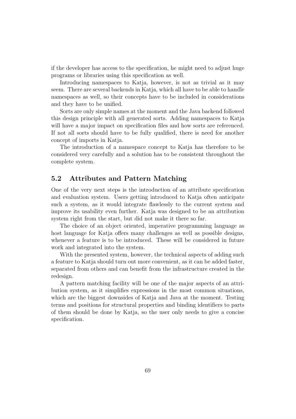if the developer has access to the specification, he might need to adjust huge programs or libraries using this specification as well.

Introducing namespaces to Katja, however, is not as trivial as it may seem. There are several backends in Katja, which all have to be able to handle namespaces as well, so their concepts have to be included in considerations and they have to be unified.

Sorts are only simple names at the moment and the Java backend followed this design principle with all generated sorts. Adding namespaces to Katja will have a major impact on specification files and how sorts are referenced. If not all sorts should have to be fully qualified, there is need for another concept of imports in Katja.

The introduction of a namespace concept to Katja has therefore to be considered very carefully and a solution has to be consistent throughout the complete system.

### 5.2 Attributes and Pattern Matching

One of the very next steps is the introduction of an attribute specification and evaluation system. Users getting introduced to Katja often anticipate such a system, as it would integrate flawlessly to the current system and improve its usability even further. Katja was designed to be an attribution system right from the start, but did not make it there so far.

The choice of an object oriented, imperative programming language as host language for Katja offers many challenges as well as possible designs, whenever a feature is to be introduced. These will be considered in future work and integrated into the system.

With the presented system, however, the technical aspects of adding such a feature to Katja should turn out more convenient, as it can be added faster, separated from others and can benefit from the infrastructure created in the redesign.

A pattern matching facility will be one of the major aspects of an attribution system, as it simplifies expressions in the most common situations, which are the biggest downsides of Katja and Java at the moment. Testing terms and positions for structural properties and binding identifiers to parts of them should be done by Katja, so the user only needs to give a concise specification.